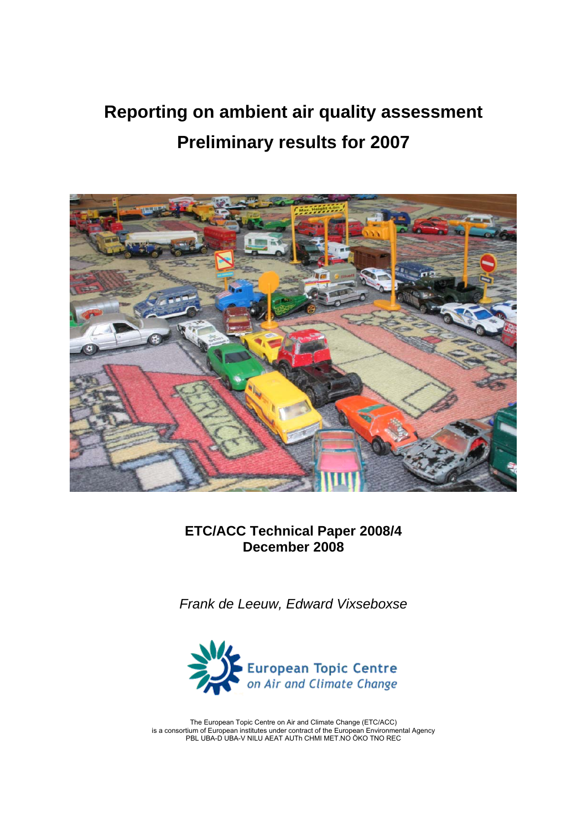# **Reporting on ambient air quality assessment Preliminary results for 2007**



**ETC/ACC Technical Paper 2008/4 December 2008** 

*Frank de Leeuw, Edward Vixseboxse* 



The European Topic Centre on Air and Climate Change (ETC/ACC) is a consortium of European institutes under contract of the European Environmental Agency PBL UBA-D UBA-V NILU AEAT AUTh CHMI MET.NO ÖKO TNO REC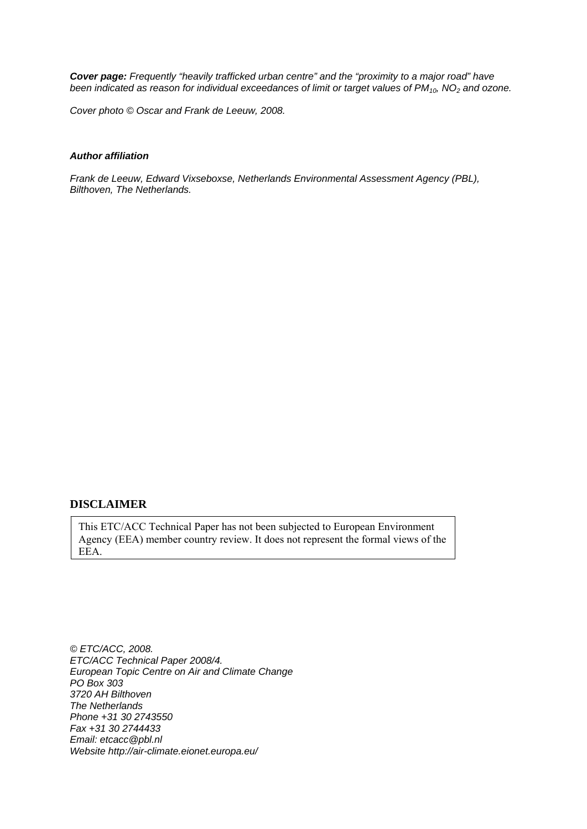*Cover page: Frequently "heavily trafficked urban centre" and the "proximity to a major road" have been indicated as reason for individual exceedances of limit or target values of PM<sub>10</sub>, NO<sub>2</sub> and ozone.* 

*Cover photo © Oscar and Frank de Leeuw, 2008.* 

#### *Author affiliation*

*Frank de Leeuw, Edward Vixseboxse, Netherlands Environmental Assessment Agency (PBL), Bilthoven, The Netherlands.* 

#### **DISCLAIMER**

This ETC/ACC Technical Paper has not been subjected to European Environment Agency (EEA) member country review. It does not represent the formal views of the EEA.

*© ETC/ACC, 2008. ETC/ACC Technical Paper 2008/4. European Topic Centre on Air and Climate Change PO Box 303 3720 AH Bilthoven The Netherlands Phone +31 30 2743550 Fax +31 30 2744433 Email: etcacc@pbl.nl Website http://air-climate.eionet.europa.eu/*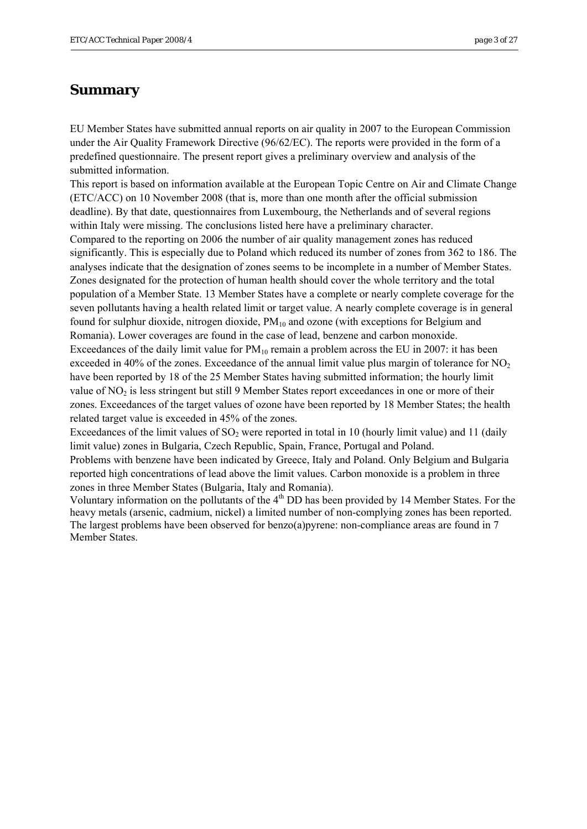# <span id="page-2-0"></span>**Summary**

EU Member States have submitted annual reports on air quality in 2007 to the European Commission under the Air Quality Framework Directive (96/62/EC). The reports were provided in the form of a predefined questionnaire. The present report gives a preliminary overview and analysis of the submitted information.

This report is based on information available at the European Topic Centre on Air and Climate Change (ETC/ACC) on 10 November 2008 (that is, more than one month after the official submission deadline). By that date, questionnaires from Luxembourg, the Netherlands and of several regions within Italy were missing. The conclusions listed here have a preliminary character.

Compared to the reporting on 2006 the number of air quality management zones has reduced significantly. This is especially due to Poland which reduced its number of zones from 362 to 186. The analyses indicate that the designation of zones seems to be incomplete in a number of Member States. Zones designated for the protection of human health should cover the whole territory and the total population of a Member State. 13 Member States have a complete or nearly complete coverage for the seven pollutants having a health related limit or target value. A nearly complete coverage is in general found for sulphur dioxide, nitrogen dioxide,  $PM_{10}$  and ozone (with exceptions for Belgium and Romania). Lower coverages are found in the case of lead, benzene and carbon monoxide. Exceedances of the daily limit value for  $PM_{10}$  remain a problem across the EU in 2007: it has been exceeded in 40% of the zones. Exceedance of the annual limit value plus margin of tolerance for  $NO<sub>2</sub>$ have been reported by 18 of the 25 Member States having submitted information; the hourly limit value of  $NO<sub>2</sub>$  is less stringent but still 9 Member States report exceedances in one or more of their zones. Exceedances of the target values of ozone have been reported by 18 Member States; the health related target value is exceeded in 45% of the zones.

Exceedances of the limit values of  $SO<sub>2</sub>$  were reported in total in 10 (hourly limit value) and 11 (daily limit value) zones in Bulgaria, Czech Republic, Spain, France, Portugal and Poland.

Problems with benzene have been indicated by Greece, Italy and Poland. Only Belgium and Bulgaria reported high concentrations of lead above the limit values. Carbon monoxide is a problem in three zones in three Member States (Bulgaria, Italy and Romania).

Voluntary information on the pollutants of the 4<sup>th</sup> DD has been provided by 14 Member States. For the heavy metals (arsenic, cadmium, nickel) a limited number of non-complying zones has been reported. The largest problems have been observed for benzo(a)pyrene: non-compliance areas are found in 7 Member States.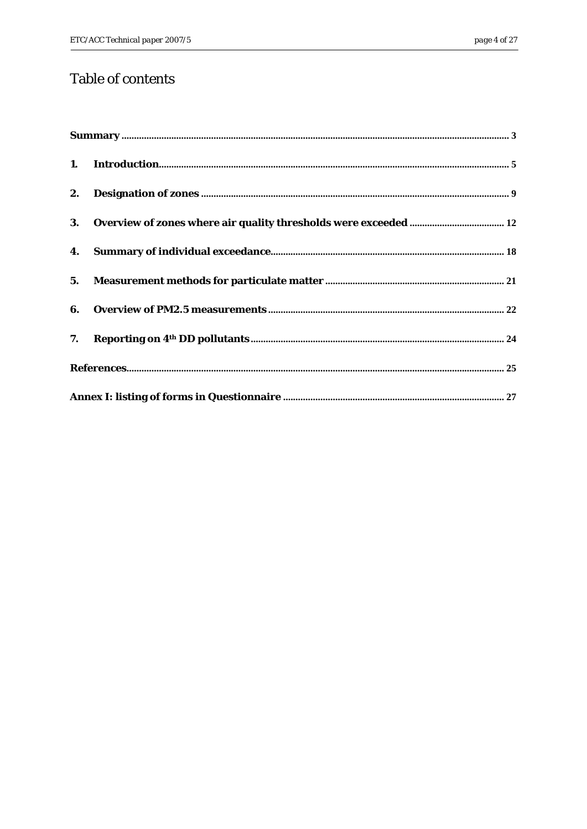# Table of contents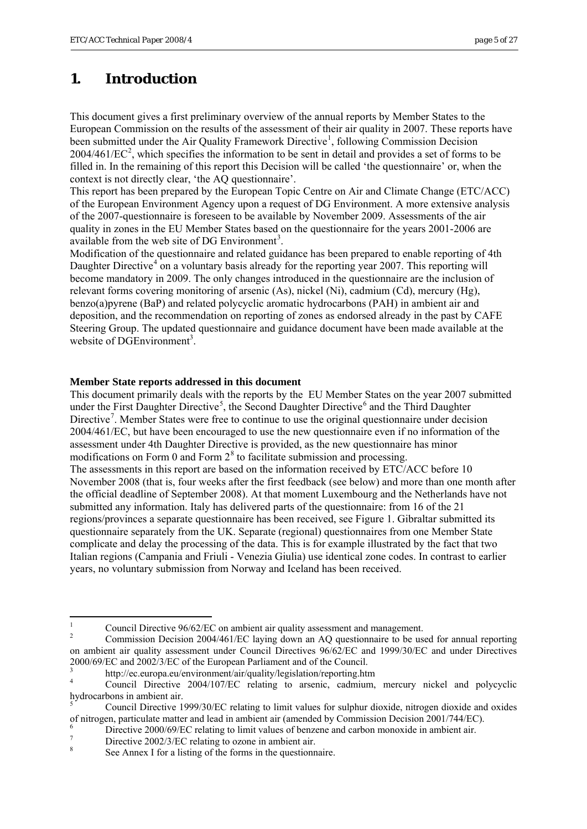# <span id="page-4-0"></span>**1. Introduction**

This document gives a first preliminary overview of the annual reports by Member States to the European Commission on the results of the assessment of their air quality in 2007. These reports have been submitted under the Air Quality Framework Directive<sup>[1](#page-4-1)</sup>, following Commission Decision  $2004/461/EC<sup>2</sup>$  $2004/461/EC<sup>2</sup>$ , which specifies the information to be sent in detail and provides a set of forms to be filled in. In the remaining of this report this Decision will be called 'the questionnaire' or, when the context is not directly clear, 'the AQ questionnaire'.

This report has been prepared by the European Topic Centre on Air and Climate Change (ETC/ACC) of the European Environment Agency upon a request of DG Environment. A more extensive analysis of the 2007-questionnaire is foreseen to be available by November 2009. Assessments of the air quality in zones in the EU Member States based on the questionnaire for the years 2001-2006 are available from the web site of DG Environment<sup>[3](#page-4-3)</sup>.

Modification of the questionnaire and related guidance has been prepared to enable reporting of 4th Daughter Directive<sup>[4](#page-4-4)</sup> on a voluntary basis already for the reporting year 2007. This reporting will become mandatory in 2009. The only changes introduced in the questionnaire are the inclusion of relevant forms covering monitoring of arsenic (As), nickel (Ni), cadmium (Cd), mercury (Hg), benzo(a)pyrene (BaP) and related polycyclic aromatic hydrocarbons (PAH) in ambient air and deposition, and the recommendation on reporting of zones as endorsed already in the past by CAFE Steering Group. The updated questionnaire and guidance document have been made available at the website of DGEnvironment<sup>[3](#page-4-0)</sup>.

#### **Member State reports addressed in this document**

This document primarily deals with the reports by the EU Member States on the year 2007 submitted under the First Daughter Directive<sup>[5](#page-4-5)</sup>, the Second Daughter Directive<sup>[6](#page-4-6)</sup> and the Third Daughter Directive<sup>[7](#page-4-7)</sup>. Member States were free to continue to use the original questionnaire under decision 2004/461/EC, but have been encouraged to use the new questionnaire even if no information of the assessment under 4th Daughter Directive is provided, as the new questionnaire has minor modifications on Form 0 and Form  $2<sup>8</sup>$  $2<sup>8</sup>$  $2<sup>8</sup>$  to facilitate submission and processing.

The assessments in this report are based on the information received by ETC/ACC before 10 November 2008 (that is, four weeks after the first feedback (see below) and more than one month after the official deadline of September 2008). At that moment Luxembourg and the Netherlands have not submitted any information. Italy has delivered parts of the questionnaire: from 16 of the 21 regions/provinces a separate questionnaire has been received, see Figure 1. Gibraltar submitted its questionnaire separately from the UK. Separate (regional) questionnaires from one Member State complicate and delay the processing of the data. This is for example illustrated by the fact that two Italian regions (Campania and Friuli - Venezia Giulia) use identical zone codes. In contrast to earlier years, no voluntary submission from Norway and Iceland has been received.

 $\frac{1}{1}$ Council Directive 96/62/EC on ambient air quality assessment and management.

 $\overline{2}$  Commission Decision 2004/461/EC laying down an AQ questionnaire to be used for annual reporting on ambient air quality assessment under Council Directives 96/62/EC and 1999/30/EC and under Directives 2000/69/EC and 2002/3/EC of the European Parliament and of the Council.

<sup>3</sup> http://ec.europa.eu/environment/air/quality/legislation/reporting.htm

<sup>4</sup> Council Directive 2004/107/EC relating to arsenic, cadmium, mercury nickel and polycyclic hydrocarbons in ambient air.

<sup>5</sup> Council Directive 1999/30/EC relating to limit values for sulphur dioxide, nitrogen dioxide and oxides of nitrogen, particulate matter and lead in ambient air (amended by Commission Decision 2001/744/EC).

<sup>6</sup> Directive 2000/69/EC relating to limit values of benzene and carbon monoxide in ambient air.

<sup>7</sup> Directive 2002/3/EC relating to ozone in ambient air.

<span id="page-4-8"></span><span id="page-4-7"></span><span id="page-4-6"></span><span id="page-4-5"></span><span id="page-4-4"></span><span id="page-4-3"></span><span id="page-4-2"></span><span id="page-4-1"></span><sup>8</sup> See Annex I for a listing of the forms in the questionnaire.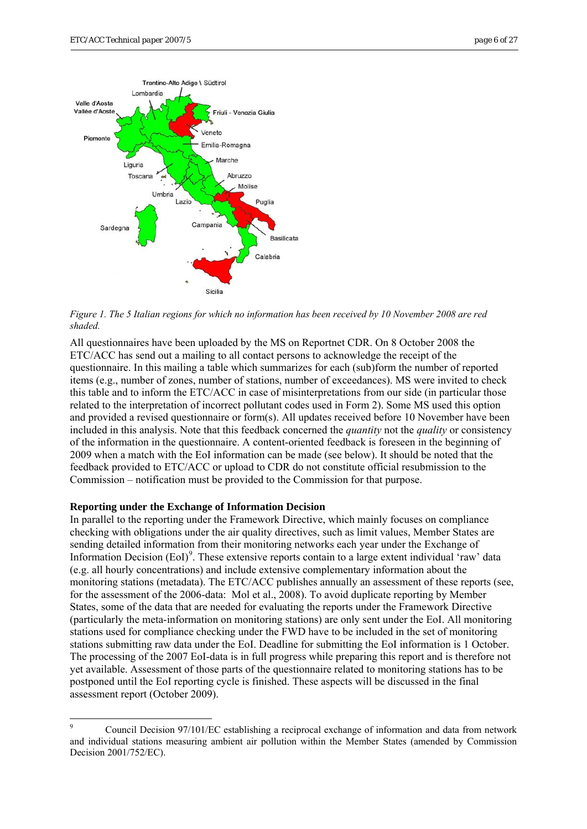

*Figure 1. The 5 Italian regions for which no information has been received by 10 November 2008 are red shaded.* 

All questionnaires have been uploaded by the MS on Reportnet CDR. On 8 October 2008 the ETC/ACC has send out a mailing to all contact persons to acknowledge the receipt of the questionnaire. In this mailing a table which summarizes for each (sub)form the number of reported items (e.g., number of zones, number of stations, number of exceedances). MS were invited to check this table and to inform the ETC/ACC in case of misinterpretations from our side (in particular those related to the interpretation of incorrect pollutant codes used in Form 2). Some MS used this option and provided a revised questionnaire or form(s). All updates received before 10 November have been included in this analysis. Note that this feedback concerned the *quantity* not the *quality* or consistency of the information in the questionnaire. A content-oriented feedback is foreseen in the beginning of 2009 when a match with the EoI information can be made (see below). It should be noted that the feedback provided to ETC/ACC or upload to CDR do not constitute official resubmission to the Commission – notification must be provided to the Commission for that purpose.

#### **Reporting under the Exchange of Information Decision**

In parallel to the reporting under the Framework Directive, which mainly focuses on compliance checking with obligations under the air quality directives, such as limit values, Member States are sending detailed information from their monitoring networks each year under the Exchange of Information Decision (EoI)<sup>[9](#page-5-0)</sup>. These extensive reports contain to a large extent individual 'raw' data (e.g. all hourly concentrations) and include extensive complementary information about the monitoring stations (metadata). The ETC/ACC publishes annually an assessment of these reports (see, for the assessment of the 2006-data: Mol et al., 2008). To avoid duplicate reporting by Member States, some of the data that are needed for evaluating the reports under the Framework Directive (particularly the meta-information on monitoring stations) are only sent under the EoI. All monitoring stations used for compliance checking under the FWD have to be included in the set of monitoring stations submitting raw data under the EoI. Deadline for submitting the EoI information is 1 October. The processing of the 2007 EoI-data is in full progress while preparing this report and is therefore not yet available. Assessment of those parts of the questionnaire related to monitoring stations has to be postponed until the EoI reporting cycle is finished. These aspects will be discussed in the final assessment report (October 2009).

<span id="page-5-0"></span><sup>-&</sup>lt;br>9 Council Decision 97/101/EC establishing a reciprocal exchange of information and data from network and individual stations measuring ambient air pollution within the Member States (amended by Commission Decision 2001/752/EC).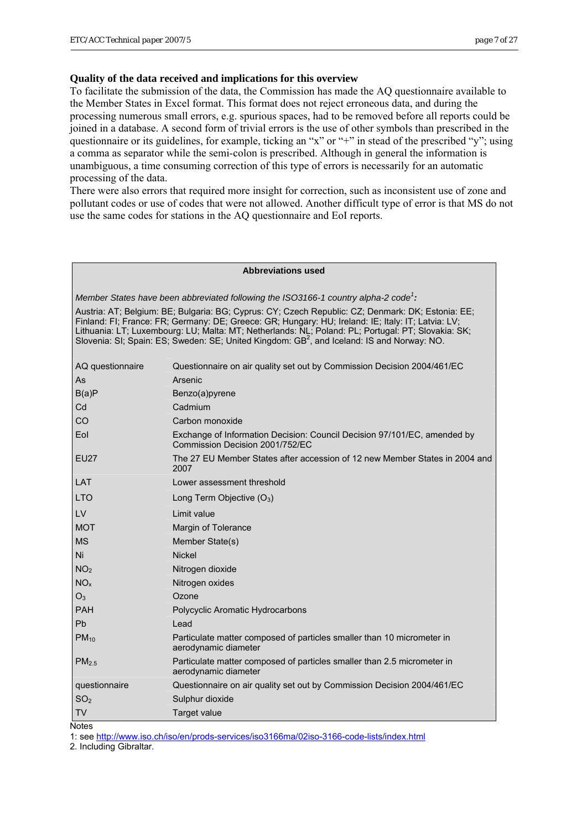#### **Quality of the data received and implications for this overview**

To facilitate the submission of the data, the Commission has made the AQ questionnaire available to the Member States in Excel format. This format does not reject erroneous data, and during the processing numerous small errors, e.g. spurious spaces, had to be removed before all reports could be joined in a database. A second form of trivial errors is the use of other symbols than prescribed in the questionnaire or its guidelines, for example, ticking an "x" or "+" in stead of the prescribed "y"; using a comma as separator while the semi-colon is prescribed. Although in general the information is unambiguous, a time consuming correction of this type of errors is necessarily for an automatic processing of the data.

There were also errors that required more insight for correction, such as inconsistent use of zone and pollutant codes or use of codes that were not allowed. Another difficult type of error is that MS do not use the same codes for stations in the AQ questionnaire and EoI reports.

#### **Abbreviations used**

*Member States have been abbreviated following the ISO3166-1 country alpha-2 code<sup>1</sup> :*

Austria: AT; Belgium: BE; Bulgaria: BG; Cyprus: CY; Czech Republic: CZ; Denmark: DK; Estonia: EE; Finland: FI; France: FR; Germany: DE; Greece: GR; Hungary: HU; Ireland: IE; Italy: IT; Latvia: LV; Lithuania: LT; Luxembourg: LU; Malta: MT; Netherlands: NL; Poland: PL; Portugal: PT; Slovakia: SK;<br>Slovenia: SI; Spain: ES; Sweden: SE; United Kingdom: GB<sup>2</sup>, and Iceland: IS and Norway: NO.

| AQ questionnaire  | Questionnaire on air quality set out by Commission Decision 2004/461/EC                                     |
|-------------------|-------------------------------------------------------------------------------------------------------------|
| As                | Arsenic                                                                                                     |
| B(a)P             | Benzo(a)pyrene                                                                                              |
| Cd                | Cadmium                                                                                                     |
| CO                | Carbon monoxide                                                                                             |
| Eol               | Exchange of Information Decision: Council Decision 97/101/EC, amended by<br>Commission Decision 2001/752/EC |
| <b>EU27</b>       | The 27 EU Member States after accession of 12 new Member States in 2004 and<br>2007                         |
| LAT               | Lower assessment threshold                                                                                  |
| <b>LTO</b>        | Long Term Objective $(O_3)$                                                                                 |
| LV                | Limit value                                                                                                 |
| <b>MOT</b>        | Margin of Tolerance                                                                                         |
| <b>MS</b>         | Member State(s)                                                                                             |
| Ni                | <b>Nickel</b>                                                                                               |
| NO <sub>2</sub>   | Nitrogen dioxide                                                                                            |
| NO <sub>x</sub>   | Nitrogen oxides                                                                                             |
| O <sub>3</sub>    | Ozone                                                                                                       |
| <b>PAH</b>        | Polycyclic Aromatic Hydrocarbons                                                                            |
| Pb                | Lead                                                                                                        |
| $PM_{10}$         | Particulate matter composed of particles smaller than 10 micrometer in<br>aerodynamic diameter              |
| PM <sub>2.5</sub> | Particulate matter composed of particles smaller than 2.5 micrometer in<br>aerodynamic diameter             |
| questionnaire     | Questionnaire on air quality set out by Commission Decision 2004/461/EC                                     |
| SO <sub>2</sub>   | Sulphur dioxide                                                                                             |
| <b>TV</b>         | Target value                                                                                                |

**Notes** 

1: see <http://www.iso.ch/iso/en/prods-services/iso3166ma/02iso-3166-code-lists/index.html>

2. Including Gibraltar.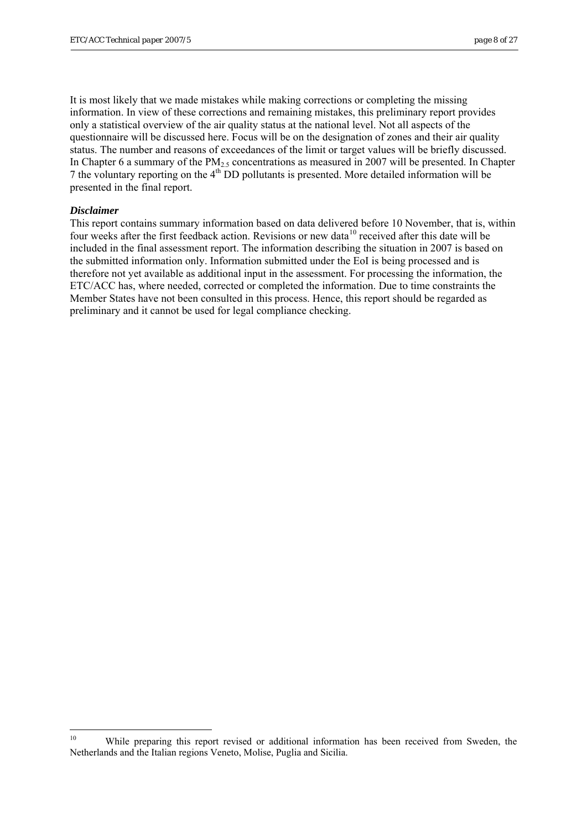<span id="page-7-0"></span>It is most likely that we made mistakes while making corrections or completing the missing information. In view of these corrections and remaining mistakes, this preliminary report provides only a statistical overview of the air quality status at the national level. Not all aspects of the questionnaire will be discussed here. Focus will be on the designation of zones and their air quality status. The number and reasons of exceedances of the limit or target values will be briefly discussed. In Chapter 6 a summary of the  $PM_{2.5}$  concentrations as measured in 2007 will be presented. In Chapter 7 the voluntary reporting on the 4th DD pollutants is presented. More detailed information will be presented in the final report.

#### *Disclaimer*

This report contains summary information based on data delivered before 10 November, that is, within four weeks after the first feedback action. Revisions or new data<sup>[1](#page-7-0)0</sup> received after this date will be included in the final assessment report. The information describing the situation in 2007 is based on the submitted information only. Information submitted under the EoI is being processed and is therefore not yet available as additional input in the assessment. For processing the information, the ETC/ACC has, where needed, corrected or completed the information. Due to time constraints the Member States have not been consulted in this process. Hence, this report should be regarded as preliminary and it cannot be used for legal compliance checking.

 $10\,$ While preparing this report revised or additional information has been received from Sweden, the Netherlands and the Italian regions Veneto, Molise, Puglia and Sicilia.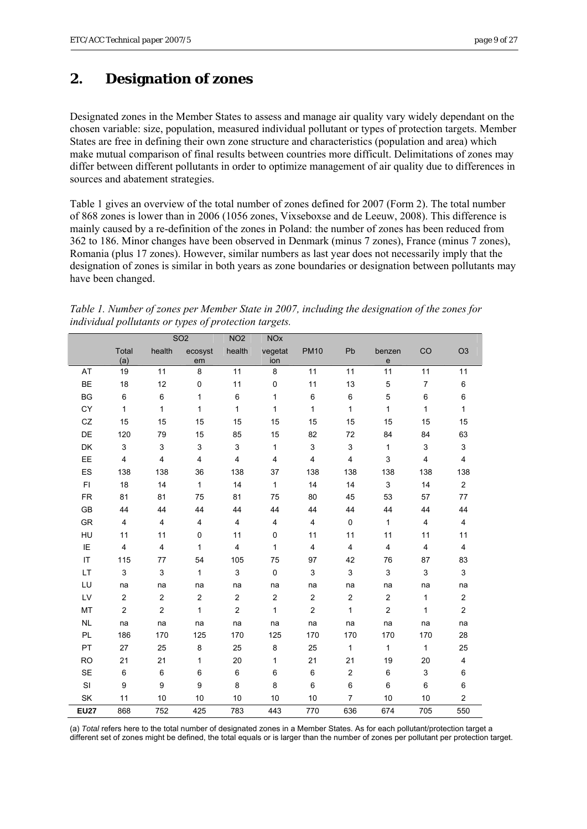# <span id="page-8-0"></span>**2. Designation of zones**

Designated zones in the Member States to assess and manage air quality vary widely dependant on the chosen variable: size, population, measured individual pollutant or types of protection targets. Member States are free in defining their own zone structure and characteristics (population and area) which make mutual comparison of final results between countries more difficult. Delimitations of zones may differ between different pollutants in order to optimize management of air quality due to differences in sources and abatement strategies.

Table 1 gives an overview of the total number of zones defined for 2007 (Form 2). The total number of 868 zones is lower than in 2006 (1056 zones, Vixseboxse and de Leeuw, 2008). This difference is mainly caused by a re-definition of the zones in Poland: the number of zones has been reduced from 362 to 186. Minor changes have been observed in Denmark (minus 7 zones), France (minus 7 zones), Romania (plus 17 zones). However, similar numbers as last year does not necessarily imply that the designation of zones is similar in both years as zone boundaries or designation between pollutants may have been changed.

| Table 1. Number of zones per Member State in 2007, including the designation of the zones for |  |
|-----------------------------------------------------------------------------------------------|--|
| individual pollutants or types of protection targets.                                         |  |

|                        |                           | SO <sub>2</sub> |                  | NO <sub>2</sub>         | <b>NOx</b>     |                           |                |                         |                         |                         |
|------------------------|---------------------------|-----------------|------------------|-------------------------|----------------|---------------------------|----------------|-------------------------|-------------------------|-------------------------|
|                        | Total<br>(a)              | health          | ecosyst<br>em    | health                  | vegetat<br>ion | <b>PM10</b>               | Pb             | benzen<br>$\mathbf e$   | CO                      | O <sub>3</sub>          |
| AT                     | 19                        | 11              | 8                | 11                      | 8              | 11                        | 11             | 11                      | 11                      | 11                      |
| <b>BE</b>              | 18                        | 12              | $\pmb{0}$        | 11                      | 0              | 11                        | 13             | 5                       | $\overline{7}$          | 6                       |
| <b>BG</b>              | $\,6$                     | 6               | $\mathbf{1}$     | 6                       | $\mathbf{1}$   | 6                         | 6              | $\mathbf 5$             | 6                       | 6                       |
| <b>CY</b>              | $\mathbf{1}$              | $\mathbf{1}$    | 1                | $\mathbf{1}$            | $\mathbf{1}$   | $\mathbf{1}$              | $\mathbf{1}$   | 1                       | $\mathbf{1}$            | $\mathbf{1}$            |
| CZ                     | 15                        | 15              | 15               | 15                      | 15             | 15                        | 15             | 15                      | 15                      | 15                      |
| DE                     | 120                       | 79              | 15               | 85                      | 15             | 82                        | 72             | 84                      | 84                      | 63                      |
| DK                     | $\mathsf 3$               | 3               | 3                | 3                       | $\mathbf{1}$   | $\ensuremath{\mathsf{3}}$ | 3              | $\mathbf{1}$            | 3                       | $\mathfrak{S}$          |
| EE                     | $\overline{4}$            | 4               | $\overline{4}$   | $\overline{4}$          | 4              | $\overline{\mathbf{4}}$   | $\overline{4}$ | 3                       | $\overline{\mathbf{4}}$ | $\overline{\mathbf{4}}$ |
| ES                     | 138                       | 138             | 36               | 138                     | 37             | 138                       | 138            | 138                     | 138                     | 138                     |
| FI.                    | 18                        | 14              | $\mathbf{1}$     | 14                      | $\mathbf{1}$   | 14                        | 14             | 3                       | 14                      | $\overline{a}$          |
| <b>FR</b>              | 81                        | 81              | 75               | 81                      | 75             | 80                        | 45             | 53                      | 57                      | 77                      |
| GB                     | 44                        | 44              | 44               | 44                      | 44             | 44                        | 44             | 44                      | 44                      | 44                      |
| <b>GR</b>              | $\overline{4}$            | 4               | 4                | 4                       | 4              | $\overline{\mathbf{4}}$   | 0              | $\mathbf{1}$            | 4                       | 4                       |
| HU                     | 11                        | 11              | 0                | 11                      | 0              | 11                        | 11             | 11                      | 11                      | 11                      |
| IE                     | $\overline{\mathbf{4}}$   | 4               | 1                | 4                       | $\mathbf{1}$   | $\overline{4}$            | 4              | $\overline{\mathbf{4}}$ | $\overline{\mathbf{4}}$ | $\overline{4}$          |
| $\mathsf{I}\mathsf{T}$ | 115                       | 77              | 54               | 105                     | 75             | 97                        | 42             | 76                      | 87                      | 83                      |
| LT                     | $\ensuremath{\mathsf{3}}$ | 3               | $\mathbf{1}$     | 3                       | 0              | $\ensuremath{\mathsf{3}}$ | 3              | $\mathsf 3$             | $\mathsf 3$             | $\mathfrak{S}$          |
| LU                     | na                        | na              | na               | na                      | na             | na                        | na             | na                      | na                      | na                      |
| LV                     | $\overline{\mathbf{c}}$   | $\overline{2}$  | $\overline{c}$   | $\overline{\mathbf{c}}$ | $\overline{c}$ | $\overline{\mathbf{c}}$   | $\overline{2}$ | $\overline{c}$          | $\mathbf{1}$            | $\overline{c}$          |
| MT                     | $\overline{2}$            | $\overline{2}$  | $\mathbf{1}$     | $\overline{2}$          | $\mathbf{1}$   | $\overline{c}$            | $\mathbf{1}$   | $\overline{c}$          | 1                       | $\overline{c}$          |
| <b>NL</b>              | na                        | na              | na               | na                      | na             | na                        | na             | na                      | na                      | na                      |
| PL                     | 186                       | 170             | 125              | 170                     | 125            | 170                       | 170            | 170                     | 170                     | 28                      |
| PT                     | 27                        | 25              | 8                | 25                      | 8              | 25                        | $\mathbf{1}$   | $\mathbf{1}$            | 1                       | 25                      |
| <b>RO</b>              | 21                        | 21              | 1                | 20                      | $\mathbf{1}$   | 21                        | 21             | 19                      | 20                      | $\overline{\mathbf{4}}$ |
| <b>SE</b>              | 6                         | 6               | 6                | 6                       | 6              | 6                         | $\overline{c}$ | 6                       | 3                       | 6                       |
| SI                     | $\boldsymbol{9}$          | 9               | $\boldsymbol{9}$ | 8                       | 8              | 6                         | 6              | 6                       | 6                       | 6                       |
| SK                     | 11                        | 10              | 10               | 10                      | 10             | 10                        | $\overline{7}$ | 10                      | 10                      | $\overline{c}$          |
| <b>EU27</b>            | 868                       | 752             | 425              | 783                     | 443            | 770                       | 636            | 674                     | 705                     | 550                     |

(a) *Total* refers here to the total number of designated zones in a Member States. As for each pollutant/protection target a different set of zones might be defined, the total equals or is larger than the number of zones per pollutant per protection target.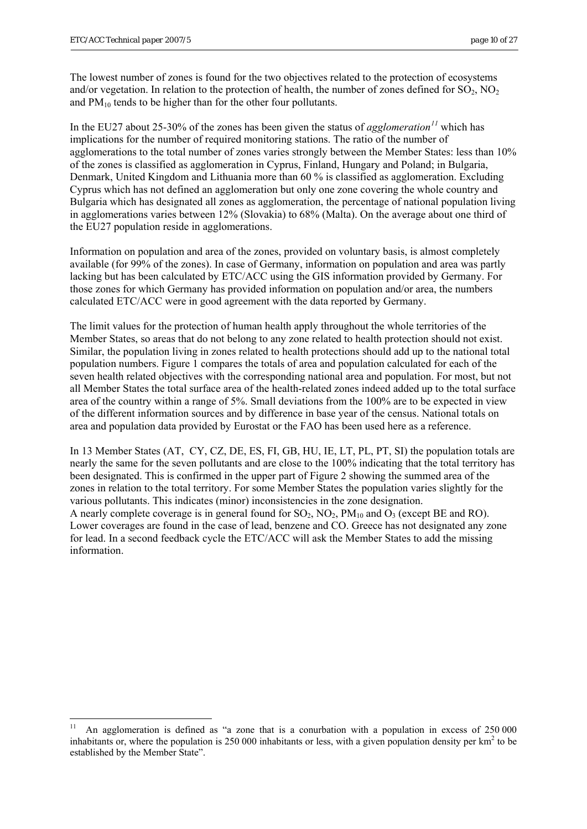1

<span id="page-9-0"></span>The lowest number of zones is found for the two objectives related to the protection of ecosystems and/or vegetation. In relation to the protection of health, the number of zones defined for  $SO_2$ ,  $NO_2$ and  $PM_{10}$  tends to be higher than for the other four pollutants.

In the EU27 about 25-30% of the zones has been given the status of *agglomeration[11](#page-9-0)* which has implications for the number of required monitoring stations. The ratio of the number of agglomerations to the total number of zones varies strongly between the Member States: less than 10% of the zones is classified as agglomeration in Cyprus, Finland, Hungary and Poland; in Bulgaria, Denmark, United Kingdom and Lithuania more than 60 % is classified as agglomeration. Excluding Cyprus which has not defined an agglomeration but only one zone covering the whole country and Bulgaria which has designated all zones as agglomeration, the percentage of national population living in agglomerations varies between 12% (Slovakia) to 68% (Malta). On the average about one third of the EU27 population reside in agglomerations.

Information on population and area of the zones, provided on voluntary basis, is almost completely available (for 99% of the zones). In case of Germany, information on population and area was partly lacking but has been calculated by ETC/ACC using the GIS information provided by Germany. For those zones for which Germany has provided information on population and/or area, the numbers calculated ETC/ACC were in good agreement with the data reported by Germany.

The limit values for the protection of human health apply throughout the whole territories of the Member States, so areas that do not belong to any zone related to health protection should not exist. Similar, the population living in zones related to health protections should add up to the national total population numbers. Figure 1 compares the totals of area and population calculated for each of the seven health related objectives with the corresponding national area and population. For most, but not all Member States the total surface area of the health-related zones indeed added up to the total surface area of the country within a range of 5%. Small deviations from the 100% are to be expected in view of the different information sources and by difference in base year of the census. National totals on area and population data provided by Eurostat or the FAO has been used here as a reference.

In 13 Member States (AT, CY, CZ, DE, ES, FI, GB, HU, IE, LT, PL, PT, SI) the population totals are nearly the same for the seven pollutants and are close to the 100% indicating that the total territory has been designated. This is confirmed in the upper part of Figure 2 showing the summed area of the zones in relation to the total territory. For some Member States the population varies slightly for the various pollutants. This indicates (minor) inconsistencies in the zone designation. A nearly complete coverage is in general found for  $SO_2$ ,  $NO_2$ ,  $PM_{10}$  and  $O_3$  (except BE and RO). Lower coverages are found in the case of lead, benzene and CO. Greece has not designated any zone for lead. In a second feedback cycle the ETC/ACC will ask the Member States to add the missing information.

<sup>11</sup> An agglomeration is defined as "a zone that is a conurbation with a population in excess of 250 000 inhabitants or, where the population is  $250\,000$  inhabitants or less, with a given population density per  $\text{km}^2$  to be established by the Member State".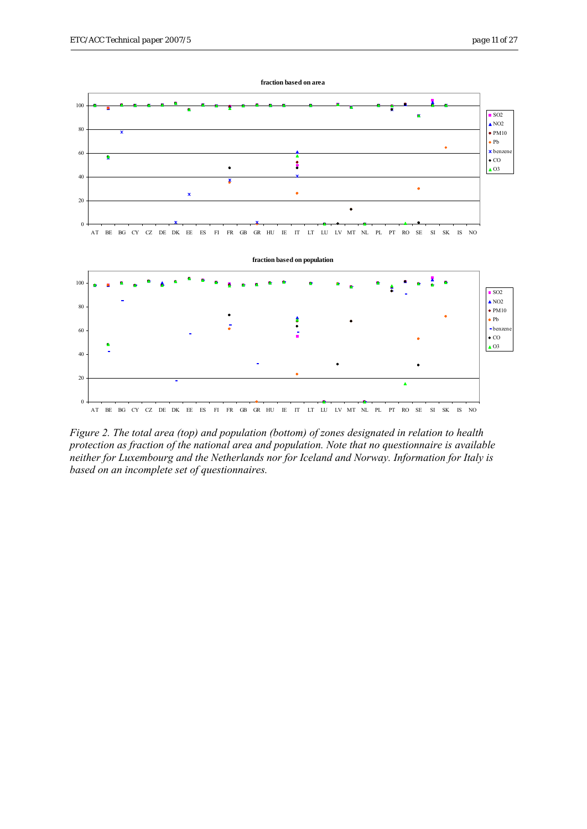

*Figure 2. The total area (top) and population (bottom) of zones designated in relation to health protection as fraction of the national area and population. Note that no questionnaire is available neither for Luxembourg and the Netherlands nor for Iceland and Norway. Information for Italy is based on an incomplete set of questionnaires.*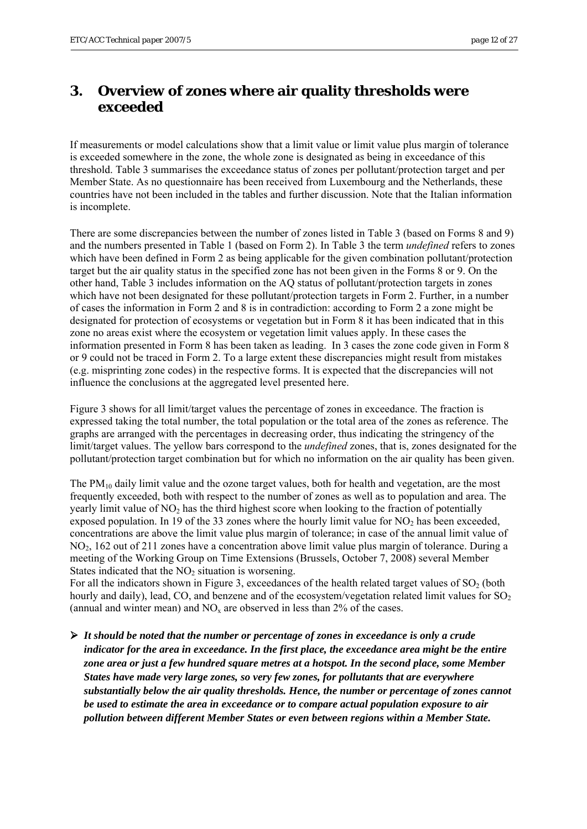# <span id="page-11-0"></span>**3. Overview of zones where air quality thresholds were exceeded**

If measurements or model calculations show that a limit value or limit value plus margin of tolerance is exceeded somewhere in the zone, the whole zone is designated as being in exceedance of this threshold. Table 3 summarises the exceedance status of zones per pollutant/protection target and per Member State. As no questionnaire has been received from Luxembourg and the Netherlands, these countries have not been included in the tables and further discussion. Note that the Italian information is incomplete.

There are some discrepancies between the number of zones listed in Table 3 (based on Forms 8 and 9) and the numbers presented in Table 1 (based on Form 2). In Table 3 the term *undefined* refers to zones which have been defined in Form 2 as being applicable for the given combination pollutant/protection target but the air quality status in the specified zone has not been given in the Forms 8 or 9. On the other hand, Table 3 includes information on the AQ status of pollutant/protection targets in zones which have not been designated for these pollutant/protection targets in Form 2. Further, in a number of cases the information in Form 2 and 8 is in contradiction: according to Form 2 a zone might be designated for protection of ecosystems or vegetation but in Form 8 it has been indicated that in this zone no areas exist where the ecosystem or vegetation limit values apply. In these cases the information presented in Form 8 has been taken as leading. In 3 cases the zone code given in Form 8 or 9 could not be traced in Form 2. To a large extent these discrepancies might result from mistakes (e.g. misprinting zone codes) in the respective forms. It is expected that the discrepancies will not influence the conclusions at the aggregated level presented here.

Figure 3 shows for all limit/target values the percentage of zones in exceedance. The fraction is expressed taking the total number, the total population or the total area of the zones as reference. The graphs are arranged with the percentages in decreasing order, thus indicating the stringency of the limit/target values. The yellow bars correspond to the *undefined* zones, that is, zones designated for the pollutant/protection target combination but for which no information on the air quality has been given.

The  $PM_{10}$  daily limit value and the ozone target values, both for health and vegetation, are the most frequently exceeded, both with respect to the number of zones as well as to population and area. The yearly limit value of  $NO<sub>2</sub>$  has the third highest score when looking to the fraction of potentially exposed population. In 19 of the 33 zones where the hourly limit value for  $NO<sub>2</sub>$  has been exceeded, concentrations are above the limit value plus margin of tolerance; in case of the annual limit value of  $NO<sub>2</sub>$ , 162 out of 211 zones have a concentration above limit value plus margin of tolerance. During a meeting of the Working Group on Time Extensions (Brussels, October 7, 2008) several Member States indicated that the  $NO<sub>2</sub>$  situation is worsening.

For all the indicators shown in Figure 3, exceedances of the health related target values of  $SO<sub>2</sub>$  (both hourly and daily), lead, CO, and benzene and of the ecosystem/vegetation related limit values for  $SO_2$ (annual and winter mean) and  $NO<sub>x</sub>$  are observed in less than 2% of the cases.

¾ *It should be noted that the number or percentage of zones in exceedance is only a crude indicator for the area in exceedance. In the first place, the exceedance area might be the entire zone area or just a few hundred square metres at a hotspot. In the second place, some Member States have made very large zones, so very few zones, for pollutants that are everywhere substantially below the air quality thresholds. Hence, the number or percentage of zones cannot be used to estimate the area in exceedance or to compare actual population exposure to air pollution between different Member States or even between regions within a Member State.*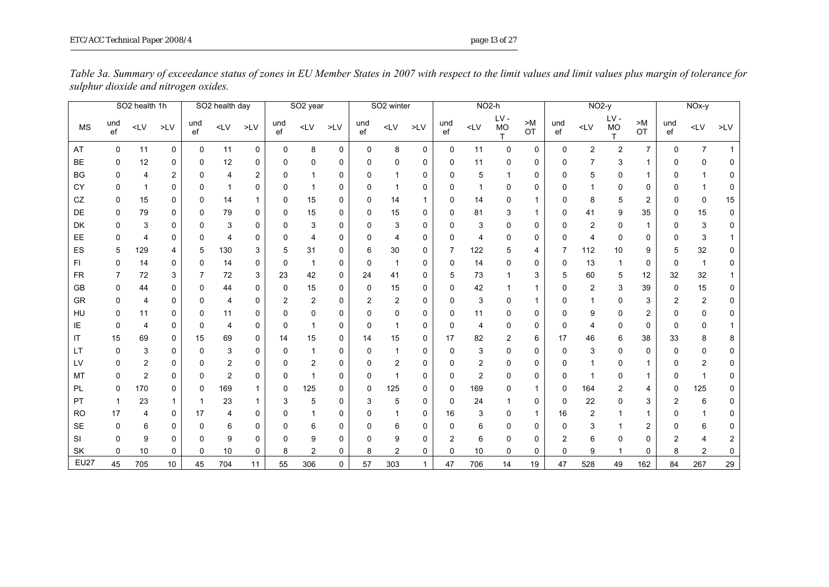|             |             | SO <sub>2</sub> health 1h |                 |           | SO2 health day |             |           | SO <sub>2</sub> year |             |             | SO <sub>2</sub> winter |              |             | $NO2-h$        |                  |              |             | $NO2-y$      |                |                       |                | NOx-y          |              |
|-------------|-------------|---------------------------|-----------------|-----------|----------------|-------------|-----------|----------------------|-------------|-------------|------------------------|--------------|-------------|----------------|------------------|--------------|-------------|--------------|----------------|-----------------------|----------------|----------------|--------------|
| <b>MS</b>   | und<br>ef   | $\textsf{<} \textsf{LV}$  | $>$ LV $\,$     | und<br>ef | $\textsf{CLV}$ | $>$ LV $\,$ | und<br>ef | $<$ LV               | $>$ LV $\,$ | und<br>ef   | $<$ LV                 | $>$ LV $\,$  | und<br>ef   | $<$ LV         | LV-<br><b>MO</b> | > M<br>OT    | und<br>ef   | $<$ LV       | LV-<br>MO      | $>\!\!M$<br><b>OT</b> | und<br>ef      | $\mathsf{cLV}$ | $>$ LV       |
| AT          | $\mathbf 0$ | 11                        | 0               | 0         | 11             | 0           | 0         | 8                    | 0           | $\mathbf 0$ | 8                      | 0            | 0           | 11             | 0                | 0            | $\mathbf 0$ | $\mathbf{2}$ | $\overline{c}$ | $\overline{7}$        | $\Omega$       | $\overline{7}$ |              |
| <b>BE</b>   | 0           | 12                        | 0               | 0         | 12             | 0           | 0         | 0                    | 0           | 0           | 0                      | 0            | 0           | 11             | 0                | 0            | n           | 7            | 3              | 1                     | 0              | 0              | 0            |
| BG          | 0           | 4                         | 2               |           | 4              | 2           | ŋ         |                      | 0           | 0           |                        | 0            | 0           | 5              |                  | 0            | n           | 5            | 0              | 1                     | 0              | 1              | 0            |
| CY          | 0           | $\mathbf{1}$              | 0               | ŋ         |                | 0           | $\Omega$  |                      | 0           | 0           | 1                      | 0            | 0           |                | 0                | 0            | n           |              | 0              | 0                     | 0              | $\mathbf 1$    | 0            |
| CZ          | 0           | 15                        | 0               | ŋ         | 14             |             | 0         | 15                   | 0           | 0           | 14                     |              | 0           | 14             | 0                | 1            | n           | 8            | 5              | $\overline{2}$        | 0              | $\Omega$       | 15           |
| DE          | $\Omega$    | 79                        | 0               |           | 79             | 0           | $\Omega$  | 15                   | $\mathbf 0$ | 0           | 15                     | 0            | 0           | 81             | 3                | $\mathbf{1}$ | $\Omega$    | 41           | 9              | 35                    | 0              | 15             | 0            |
| DK          | O           | 3                         | 0               |           | 3              | 0           | 0         | 3                    | 0           | 0           | 3                      | 0            | $\Omega$    | 3              | 0                | 0            | n           | 2            | ŋ              | 1                     | 0              | 3              | 0            |
| EE          | 0           | 4                         | 0               |           | 4              | 0           | ŋ         |                      | 0           | 0           | 4                      | 0            | 0           |                | 0                | 0            | n           | 4            | 0              | 0                     | 0              | 3              |              |
| ES          | 5           | 129                       | 4               |           | 130            | 3           | 5         | 31                   | 0           | 6           | 30                     | 0            | 7           | 122            | 5                | 4            | 7           | 112          | 10             | 9                     | 5              | 32             | 0            |
| FI.         | 0           | 14                        | 0               | 0         | 14             | 0           | 0         | -1                   | 0           | 0           | 1                      | 0            | 0           | 14             | 0                | 0            | 0           | 13           |                | 0                     | 0              | $\mathbf 1$    | $\mathbf{0}$ |
| <b>FR</b>   | 7           | 72                        | 3               |           | 72             | 3           | 23        | 42                   | 0           | 24          | 41                     | 0            | 5           | 73             |                  | 3            | 5           | 60           | 5              | 12                    | 32             | 32             |              |
| GB          | 0           | 44                        | 0               |           | 44             | 0           | 0         | 15                   | 0           | 0           | 15                     | 0            | 0           | 42             |                  | 1            | O           | 2            | 3              | 39                    | 0              | 15             | $\mathbf{0}$ |
| GR          | O           | $\overline{4}$            | 0               |           | 4              | 0           | 2         | $\overline{2}$       | $\mathbf 0$ | 2           | $\overline{c}$         | 0            | 0           | 3              | O                | 1            | n           |              | 0              | 3                     | $\overline{2}$ | $\overline{2}$ | 0            |
| HU          | O           | 11                        | 0               |           | 11             | 0           | O         | 0                    | 0           | 0           | 0                      | 0            | $\Omega$    | 11             | 0                | 0            | n           | 9            | 0              | 2                     | 0              | 0              | 0            |
| ΙE          | 0           | $\overline{4}$            | 0               | O         | 4              | 0           | 0         |                      | 0           | $\Omega$    | 1                      | 0            | $\mathbf 0$ | 4              | 0                | 0            | n           | 4            | 0              | 0                     | 0              | $\mathbf 0$    |              |
| ΙT          | 15          | 69                        | 0               | 15        | 69             | 0           | 14        | 15                   | 0           | 14          | 15                     | 0            | 17          | 82             | 2                | 6            | 17          | 46           | 6              | 38                    | 33             | 8              | 8            |
| LТ          | 0           | 3                         | 0               | 0         | 3              | 0           | 0         | 1                    | 0           | 0           | 1                      | 0            | $\Omega$    | 3              | 0                | 0            | 0           | 3            | 0              | 0                     | 0              | 0              | 0            |
| LV          | 0           | $\overline{2}$            | 0               | ŋ         | 2              | 0           | O         | 2                    | 0           | 0           | 2                      | 0            | $\Omega$    | 2              | 0                | 0            | n           |              | 0              | 1                     | 0              | $\overline{2}$ | 0            |
| MT          | $\Omega$    | $\overline{2}$            | 0               |           | 2              | 0           | $\Omega$  |                      | 0           | $\Omega$    | 1                      | 0            | 0           | $\overline{2}$ | 0                | 0            | n           |              | ŋ              | 1                     | 0              | 1              | 0            |
| <b>PL</b>   | 0           | 170                       | 0               |           | 169            |             | 0         | 125                  | 0           | 0           | 125                    | 0            | 0           | 169            | ŋ                | 1            | 0           | 164          | 2              | 4                     | 0              | 125            | 0            |
| PT          |             | 23                        | 1               |           | 23             |             | 3         | 5                    | 0           | 3           | 5                      | 0            | 0           | 24             |                  | 0            | 0           | 22           | 0              | 3                     | 2              | 6              | 0            |
| <b>RO</b>   | 17          | $\overline{4}$            | 0               | 17        | 4              | 0           |           |                      | 0           | 0           |                        | 0            | 16          | 3              | 0                | 1            | 16          | 2            |                |                       | O              |                | 0            |
| SE          | $\Omega$    | 6                         | 0               | O         | 6              | 0           | ŋ         | 6                    | 0           | $\Omega$    | 6                      | 0            | 0           | 6              | 0                | 0            | n           | 3            |                | 2                     | 0              | 6              | 0            |
| <b>SI</b>   | 0           | 9                         | 0               |           | 9              | 0           | ŋ         | 9                    | 0           | ŋ           | 9                      | 0            | 2           | 6              | 0                | 0            | 2           | 6            | O              | 0                     | 2              | 4              | 2            |
| SK          | $\Omega$    | 10                        | 0               | 0         | 10             | 0           | 8         | $\overline{2}$       | 0           | 8           | $\overline{c}$         | 0            | $\Omega$    | 10             | 0                | 0            | $\mathbf 0$ | 9            |                | 0                     | 8              | $\overline{2}$ | 0            |
| <b>EU27</b> | 45          | 705                       | 10 <sup>1</sup> | 45        | 704            | 11          | 55        | 306                  | $\Omega$    | 57          | 303                    | $\mathbf{1}$ | 47          | 706            | 14               | 19           | 47          | 528          | 49             | 162                   | 84             | 267            | 29           |

*Table 3a. Summary of exceedance status of zones in EU Member States in 2007 with respect to the limit values and limit values plus margin of tolerance for sulphur dioxide and nitrogen oxides.*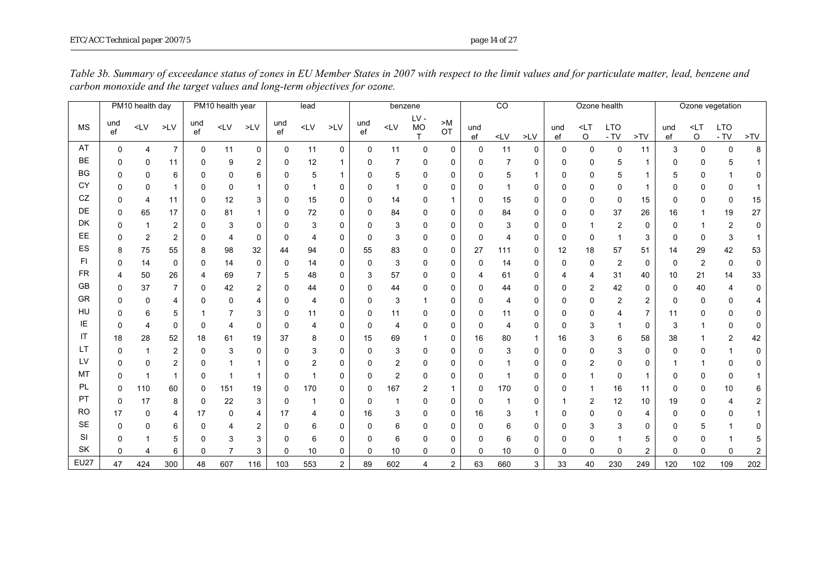|                |              | PM10 health day |                |              | PM10 health year |                |           | lead   |               | $\overline{CO}$<br>benzene |                                                                                                                                                                                                                                                                                                                                                                                                                                     |                  | Ozone health  |             |        | Ozone vegetation |           |                |                      |                |                   |                       |                    |     |
|----------------|--------------|-----------------|----------------|--------------|------------------|----------------|-----------|--------|---------------|----------------------------|-------------------------------------------------------------------------------------------------------------------------------------------------------------------------------------------------------------------------------------------------------------------------------------------------------------------------------------------------------------------------------------------------------------------------------------|------------------|---------------|-------------|--------|------------------|-----------|----------------|----------------------|----------------|-------------------|-----------------------|--------------------|-----|
| <b>MS</b>      | und<br>ef    | $<$ LV          | $>$ LV $\,$    | und<br>ef    | $\mathsf{CLV}$   | $>$ LV         | und<br>ef | $<$ LV | $>$ LV        | und<br>ef                  | <lv< td=""><td>LV-<br/><b>MO</b></td><td>&gt; M<br/>OT</td><td>und<br/>ef</td><td><math>&lt;</math>LV</td><td><math>&gt;</math>LV</td><td>und<br/>ef</td><td><math>&lt;</math>LT<br/>O</td><td><b>LTO</b><br/><math>- TV</math></td><td>&gt;TV</td><td>und<br/><math display="inline">{\sf ef}</math></td><td><math>&lt;</math>LT<br/><math display="inline">\mathsf O</math></td><td><b>LTO</b><br/>- TV</td><td>&gt;TV</td></lv<> | LV-<br><b>MO</b> | > M<br>OT     | und<br>ef   | $<$ LV | $>$ LV           | und<br>ef | $<$ LT<br>O    | <b>LTO</b><br>$- TV$ | >TV            | und<br>${\sf ef}$ | $<$ LT<br>$\mathsf O$ | <b>LTO</b><br>- TV | >TV |
| AT             | $\mathbf{0}$ | 4               | $\overline{7}$ | 0            | 11               | 0              | 0         | 11     | $\mathbf 0$   | 0                          | 11                                                                                                                                                                                                                                                                                                                                                                                                                                  | 0                | $\mathbf{0}$  | $\mathbf 0$ | 11     | 0                | 0         | 0              | $\Omega$             | 11             | 3                 | $\Omega$              | 0                  | 8   |
| <b>BE</b>      | 0            | 0               | 11             | 0            | 9                | 2              | 0         | 12     |               | 0                          | 7                                                                                                                                                                                                                                                                                                                                                                                                                                   | 0                | $\mathbf{0}$  | 0           | 7      | 0                | 0         | 0              | 5                    | 1              | n                 | O                     |                    |     |
| BG             | ŋ            | 0               | 6              | 0            | 0                | 6              | ŋ         | 5      |               | 0                          | 5                                                                                                                                                                                                                                                                                                                                                                                                                                   | 0                | $\Omega$      | 0           | 5      | 1                | 0         | 0              | 5                    |                |                   | U                     |                    |     |
| CY             | ŋ            | 0               |                | $\Omega$     | 0                | $\mathbf{1}$   | O         | 1      | 0             | 0                          |                                                                                                                                                                                                                                                                                                                                                                                                                                     | $\mathbf 0$      | $\Omega$      | $\Omega$    |        | 0                | 0         | 0              | 0                    |                |                   |                       | $\Omega$           |     |
| CZ             | n            | 4               | 11             | 0            | 12               | 3              | 0         | 15     | 0             | 0                          | 14                                                                                                                                                                                                                                                                                                                                                                                                                                  | 0                |               | 0           | 15     | 0                | 0         | 0              | 0                    | 15             | ŋ                 | U                     | $\mathbf{0}$       | 15  |
| DE             | 0            | 65              | 17             | 0            | 81               |                | 0         | 72     | 0             | 0                          | 84                                                                                                                                                                                                                                                                                                                                                                                                                                  | 0                | 0             | 0           | 84     | 0                | O         | 0              | 37                   | 26             | 16                |                       | 19                 | 27  |
| DK             | ŋ            |                 | $\overline{2}$ | 0            | 3                | 0              | 0         | 3      | 0             | 0                          | 3                                                                                                                                                                                                                                                                                                                                                                                                                                   | 0                | $\Omega$      | 0           | 3      | 0                | O         |                | 2                    | 0              |                   |                       | 2                  | 0   |
| EE             | 0            | $\overline{2}$  | $\overline{2}$ | 0            | 4                | $\mathbf 0$    | $\Omega$  | 4      | 0             | $\mathbf 0$                | 3                                                                                                                                                                                                                                                                                                                                                                                                                                   | 0                | $\Omega$      | $\Omega$    | 4      | 0                | 0         | 0              |                      | 3              | 0                 | $\Omega$              | 3                  |     |
| ES             | 8            | 75              | 55             | 8            | 98               | 32             | 44        | 94     | $\mathbf{0}$  | 55                         | 83                                                                                                                                                                                                                                                                                                                                                                                                                                  | 0                | $\mathbf{0}$  | 27          | 111    | 0                | 12        | 18             | 57                   | 51             | 14                | 29                    | 42                 | 53  |
| F <sub>1</sub> | 0            | 14              | 0              | 0            | 14               | 0              | 0         | 14     | 0             | 0                          | 3                                                                                                                                                                                                                                                                                                                                                                                                                                   | 0                | $\Omega$      | 0           | 14     | 0                | 0         | 0              | $\overline{2}$       | 0              | 0                 | 2                     | $\mathbf{0}$       | 0   |
| <b>FR</b>      |              | 50              | 26             | 4            | 69               | $\overline{7}$ | 5         | 48     | 0             | 3                          | 57                                                                                                                                                                                                                                                                                                                                                                                                                                  | $\Omega$         | $\Omega$      | 4           | 61     | 0                |           | 4              | 31                   | 40             | 10                | 21                    | 14                 | 33  |
| GB             | 0            | 37              | $\overline{7}$ | $\mathbf{0}$ | 42               | 2              | ŋ         | 44     | 0             | 0                          | 44                                                                                                                                                                                                                                                                                                                                                                                                                                  | 0                | $\Omega$      | 0           | 44     | 0                | 0         | 2              | 42                   | 0              | O                 | 40                    | 4                  | 0   |
| GR             | 0            | 0               | 4              | $\mathbf 0$  | $\Omega$         | 4              | 0         | 4      | 0             | 0                          | 3                                                                                                                                                                                                                                                                                                                                                                                                                                   | 1                | $\Omega$      | $\Omega$    | 4      | 0                | 0         | 0              | 2                    | $\overline{c}$ |                   | 0                     | $\mathbf 0$        |     |
| HU             | ŋ            | 6               | 5              |              |                  | 3              | 0         | 11     | 0             | 0                          | 11                                                                                                                                                                                                                                                                                                                                                                                                                                  | $\Omega$         | $\Omega$      | 0           | 11     | 0                | O         | 0              |                      | 7              | 11                | 0                     | 0                  | 0   |
| ΙE             | 0            | $\overline{4}$  | $\mathbf 0$    | $\Omega$     |                  | $\mathbf 0$    | $\Omega$  | 4      | 0             | 0                          | $\overline{4}$                                                                                                                                                                                                                                                                                                                                                                                                                      | $\Omega$         | $\Omega$      | 0           | 4      | 0                | 0         | 3              |                      | $\mathbf 0$    | 3                 |                       | $\Omega$           | 0   |
| IT             | 18           | 28              | 52             | 18           | 61               | 19             | 37        | 8      | $\mathbf{0}$  | 15                         | 69                                                                                                                                                                                                                                                                                                                                                                                                                                  | 1                | $\mathbf{0}$  | 16          | 80     | $\mathbf{1}$     | 16        | 3              | 6                    | 58             | 38                |                       | $\overline{2}$     | 42  |
| LT             | 0            | $\mathbf{1}$    | $\overline{2}$ | 0            | 3                | $\mathbf 0$    | $\Omega$  | 3      | $\mathbf{0}$  | 0                          | 3                                                                                                                                                                                                                                                                                                                                                                                                                                   | 0                | $\Omega$      | 0           | 3      | 0                | 0         | 0              | 3                    | 0              | 0                 | O                     |                    | 0   |
| LV             | U            | $\Omega$        | $\overline{2}$ | O            |                  |                | ŋ         | 2      | $\Omega$      | $\Omega$                   | $\overline{2}$                                                                                                                                                                                                                                                                                                                                                                                                                      | $\mathbf 0$      | $\Omega$      | $\Omega$    |        | 0                | 0         | $\overline{c}$ | 0                    | 0              |                   |                       | $\Omega$           | 0   |
| MT             | 0            |                 |                | $\Omega$     |                  | $\mathbf{1}$   | O         | 1      | 0             | 0                          | $\overline{2}$                                                                                                                                                                                                                                                                                                                                                                                                                      | $\mathbf 0$      | $\Omega$      | $\Omega$    |        | 0                | n         |                | 0                    | 1              | O                 | U                     | $\Omega$           |     |
| PL             | 0            | 110             | 60             | 0            | 151              | 19             | 0         | 170    | 0             | 0                          | 167                                                                                                                                                                                                                                                                                                                                                                                                                                 | $\overline{2}$   |               | 0           | 170    | 0                | n         |                | 16                   | 11             | O                 | O                     | 10                 | 6   |
| PT             | $\Omega$     | 17              | 8              | 0            | 22               | 3              | $\Omega$  | 1      | 0             | 0                          |                                                                                                                                                                                                                                                                                                                                                                                                                                     | $\mathbf 0$      | 0             | $\Omega$    |        | 0                |           | $\overline{c}$ | 12                   | 10             | 19                | O                     | 4                  | 2   |
| <b>RO</b>      | 17           | 0               | 4              | 17           | 0                | 4              | 17        |        | 0             | 16                         | 3                                                                                                                                                                                                                                                                                                                                                                                                                                   | 0                | $\Omega$      | 16          | 3      | 1                | o         | 0              | 0                    | 4              |                   |                       | $\Omega$           |     |
| <b>SE</b>      | 0            | $\mathbf 0$     | 6              | 0            |                  | 2              | $\Omega$  | 6      | $\mathbf{0}$  | 0                          | 6                                                                                                                                                                                                                                                                                                                                                                                                                                   | 0                | $\mathbf{0}$  | 0           | 6      | 0                | n         | 3              | 3                    | 0              |                   |                       |                    | 0   |
| SI             | ŋ            |                 | 5              | $\Omega$     | 3                | 3              | $\Omega$  | 6      | 0             | ŋ                          | 6                                                                                                                                                                                                                                                                                                                                                                                                                                   | 0                | $\mathbf{0}$  | 0           | 6      | 0                | n         | 0              |                      | 5              |                   | U                     |                    | 5   |
| SK             | 0            | 4               | 6              | 0            |                  | 3              | 0         | 10     | 0             | 0                          | 10                                                                                                                                                                                                                                                                                                                                                                                                                                  | 0                | 0             | 0           | 10     | 0                | 0         | 0              | 0                    | 2              | 0                 | O                     | $\Omega$           | 2   |
| <b>EU27</b>    | 47           | 424             | 300            | 48           | 607              | 116            | 103       | 553    | $\mathcal{P}$ | 89                         | 602                                                                                                                                                                                                                                                                                                                                                                                                                                 | $\overline{4}$   | $\mathcal{P}$ | 63          | 660    | 3                | 33        | 40             | 230                  | 249            | 120               | 102                   | 109                | 202 |

*Table 3b. Summary of exceedance status of zones in EU Member States in 2007 with respect to the limit values and for particulate matter, lead, benzene and carbon monoxide and the target values and long-term objectives for ozone.*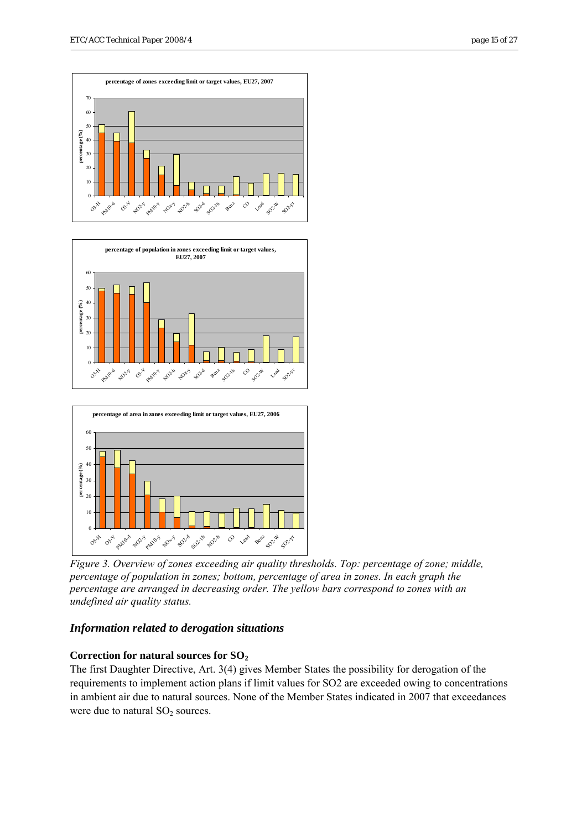





*Figure 3. Overview of zones exceeding air quality thresholds. Top: percentage of zone; middle, percentage of population in zones; bottom, percentage of area in zones. In each graph the percentage are arranged in decreasing order. The yellow bars correspond to zones with an undefined air quality status.* 

### *Information related to derogation situations*

### **Correction for natural sources for SO2**

The first Daughter Directive, Art. 3(4) gives Member States the possibility for derogation of the requirements to implement action plans if limit values for SO2 are exceeded owing to concentrations in ambient air due to natural sources. None of the Member States indicated in 2007 that exceedances were due to natural  $SO<sub>2</sub>$  sources.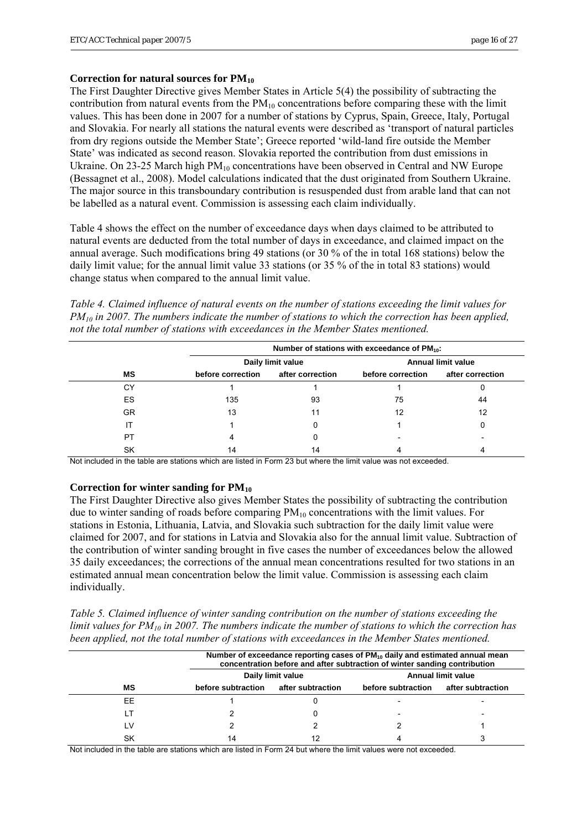#### **Correction for natural sources for PM10**

The First Daughter Directive gives Member States in Article 5(4) the possibility of subtracting the contribution from natural events from the  $PM_{10}$  concentrations before comparing these with the limit values. This has been done in 2007 for a number of stations by Cyprus, Spain, Greece, Italy, Portugal and Slovakia. For nearly all stations the natural events were described as 'transport of natural particles from dry regions outside the Member State'; Greece reported 'wild-land fire outside the Member State' was indicated as second reason. Slovakia reported the contribution from dust emissions in Ukraine. On 23-25 March high  $PM_{10}$  concentrations have been observed in Central and NW Europe (Bessagnet et al., 2008). Model calculations indicated that the dust originated from Southern Ukraine. The major source in this transboundary contribution is resuspended dust from arable land that can not be labelled as a natural event. Commission is assessing each claim individually.

Table 4 shows the effect on the number of exceedance days when days claimed to be attributed to natural events are deducted from the total number of days in exceedance, and claimed impact on the annual average. Such modifications bring 49 stations (or 30 % of the in total 168 stations) below the daily limit value; for the annual limit value 33 stations (or 35 % of the in total 83 stations) would change status when compared to the annual limit value.

*Table 4. Claimed influence of natural events on the number of stations exceeding the limit values for PM10 in 2007. The numbers indicate the number of stations to which the correction has been applied, not the total number of stations with exceedances in the Member States mentioned.* 

|     |                   | Number of stations with exceedance of $PM_{10}$ : |                           |                  |  |  |  |  |  |  |
|-----|-------------------|---------------------------------------------------|---------------------------|------------------|--|--|--|--|--|--|
|     |                   | Daily limit value                                 | <b>Annual limit value</b> |                  |  |  |  |  |  |  |
| ΜS  | before correction | after correction                                  | before correction         | after correction |  |  |  |  |  |  |
| СY  |                   |                                                   |                           |                  |  |  |  |  |  |  |
| ES  | 135               | 93                                                | 75                        | 44               |  |  |  |  |  |  |
| GR. | 13                | 11                                                | 12                        | 12               |  |  |  |  |  |  |
|     |                   | 0                                                 |                           |                  |  |  |  |  |  |  |
| PT  | 4                 |                                                   |                           |                  |  |  |  |  |  |  |
| SK  | 14                | 14                                                |                           |                  |  |  |  |  |  |  |

Not included in the table are stations which are listed in Form 23 but where the limit value was not exceeded.

#### **Correction for winter sanding for PM10**

The First Daughter Directive also gives Member States the possibility of subtracting the contribution due to winter sanding of roads before comparing  $PM_{10}$  concentrations with the limit values. For stations in Estonia, Lithuania, Latvia, and Slovakia such subtraction for the daily limit value were claimed for 2007, and for stations in Latvia and Slovakia also for the annual limit value. Subtraction of the contribution of winter sanding brought in five cases the number of exceedances below the allowed 35 daily exceedances; the corrections of the annual mean concentrations resulted for two stations in an estimated annual mean concentration below the limit value. Commission is assessing each claim individually.

*Table 5. Claimed influence of winter sanding contribution on the number of stations exceeding the limit values for PM10 in 2007. The numbers indicate the number of stations to which the correction has been applied, not the total number of stations with exceedances in the Member States mentioned.* 

|     | Number of exceedance reporting cases of PM <sub>10</sub> daily and estimated annual mean<br>concentration before and after subtraction of winter sanding contribution |                   |                           |                   |  |  |  |  |  |  |  |
|-----|-----------------------------------------------------------------------------------------------------------------------------------------------------------------------|-------------------|---------------------------|-------------------|--|--|--|--|--|--|--|
|     |                                                                                                                                                                       | Daily limit value | <b>Annual limit value</b> |                   |  |  |  |  |  |  |  |
| мs  | before subtraction                                                                                                                                                    | after subtraction | before subtraction        | after subtraction |  |  |  |  |  |  |  |
| EE  |                                                                                                                                                                       |                   |                           |                   |  |  |  |  |  |  |  |
| . T |                                                                                                                                                                       |                   |                           |                   |  |  |  |  |  |  |  |
| ١V  |                                                                                                                                                                       |                   |                           |                   |  |  |  |  |  |  |  |
| SK  | 14                                                                                                                                                                    |                   |                           |                   |  |  |  |  |  |  |  |

Not included in the table are stations which are listed in Form 24 but where the limit values were not exceeded.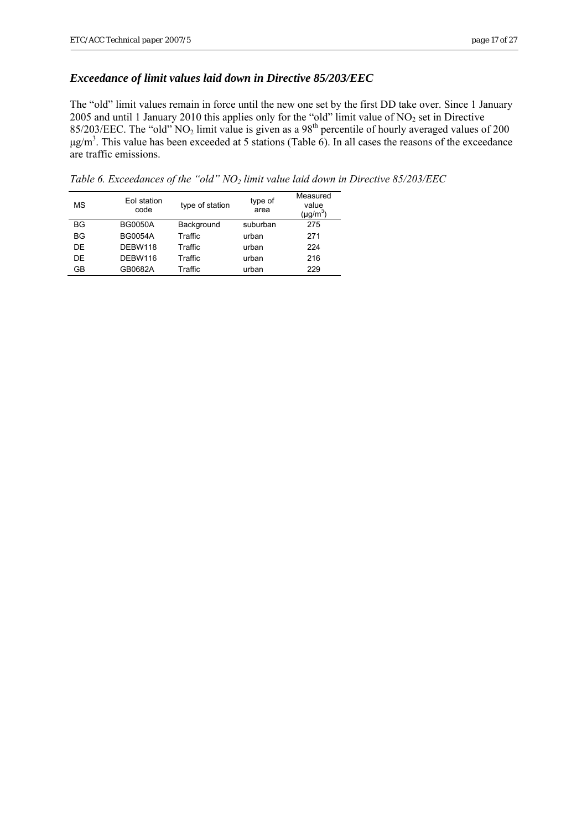### *Exceedance of limit values laid down in Directive 85/203/EEC*

The "old" limit values remain in force until the new one set by the first DD take over. Since 1 January 2005 and until 1 January 2010 this applies only for the "old" limit value of  $NO<sub>2</sub>$  set in Directive 85/203/EEC. The "old"  $NO<sub>2</sub>$  limit value is given as a 98<sup>th</sup> percentile of hourly averaged values of 200  $\mu$ g/m<sup>3</sup>. This value has been exceeded at 5 stations (Table 6). In all cases the reasons of the exceedance are traffic emissions.

*Table 6. Exceedances of the "old" NO2 limit value laid down in Directive 85/203/EEC* 

| MS        | Eol station<br>code | type of station | type of<br>area | Measured<br>value<br>(µg/m $^3$ ) |
|-----------|---------------------|-----------------|-----------------|-----------------------------------|
| <b>BG</b> | <b>BG0050A</b>      | Background      | suburban        | 275                               |
| BG        | <b>BG0054A</b>      | Traffic         | urban           | 271                               |
| DF        | DEBW118             | Traffic         | urban           | 224                               |
| DF        | DEBW116             | Traffic         | urban           | 216                               |
| GB        | GB0682A             | Traffic         | urban           | 229                               |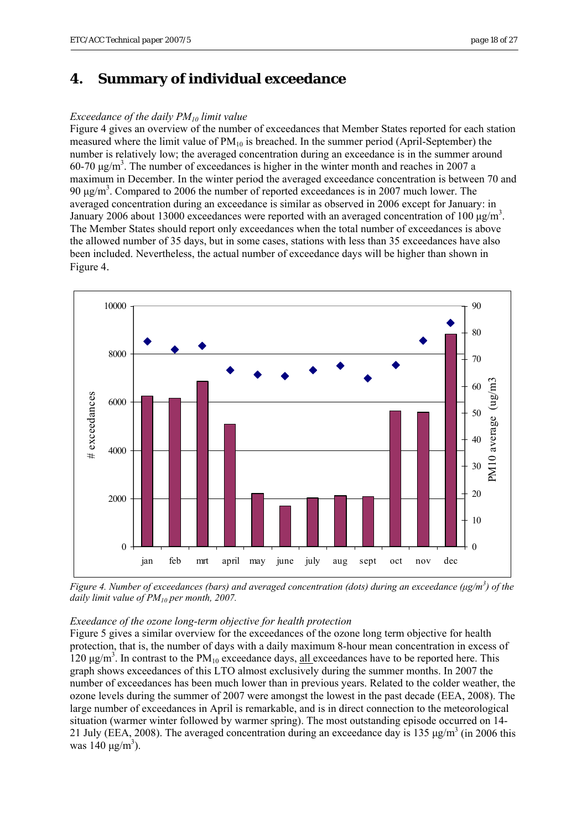# <span id="page-17-0"></span>**4. Summary of individual exceedance**

#### *Exceedance of the daily PM10 limit value*

Figure 4 gives an overview of the number of exceedances that Member States reported for each station measured where the limit value of  $PM_{10}$  is breached. In the summer period (April-September) the number is relatively low; the averaged concentration during an exceedance is in the summer around  $60-70 \text{ µg/m}^3$ . The number of exceedances is higher in the winter month and reaches in 2007 a maximum in December. In the winter period the averaged exceedance concentration is between 70 and 90 μg/m<sup>3</sup>. Compared to 2006 the number of reported exceedances is in 2007 much lower. The averaged concentration during an exceedance is similar as observed in 2006 except for January: in January 2006 about 13000 exceedances were reported with an averaged concentration of 100  $\mu$ g/m<sup>3</sup>. The Member States should report only exceedances when the total number of exceedances is above the allowed number of 35 days, but in some cases, stations with less than 35 exceedances have also been included. Nevertheless, the actual number of exceedance days will be higher than shown in Figure 4.



*Figure 4. Number of exceedances (bars) and averaged concentration (dots) during an exceedance (μg/m<sup>3</sup> ) of the daily limit value of PM10 per month, 2007.* 

#### *Exeedance of the ozone long-term objective for health protection*

Figure 5 gives a similar overview for the exceedances of the ozone long term objective for health protection, that is, the number of days with a daily maximum 8-hour mean concentration in excess of  $120 \mu g/m<sup>3</sup>$ . In contrast to the PM<sub>10</sub> exceedance days, all exceedances have to be reported here. This graph shows exceedances of this LTO almost exclusively during the summer months. In 2007 the number of exceedances has been much lower than in previous years. Related to the colder weather, the ozone levels during the summer of 2007 were amongst the lowest in the past decade (EEA, 2008). The large number of exceedances in April is remarkable, and is in direct connection to the meteorological situation (warmer winter followed by warmer spring). The most outstanding episode occurred on 14- 21 July (EEA, 2008). The averaged concentration during an exceedance day is 135  $\mu$ g/m<sup>3</sup> (in 2006 this was  $140 \mu g/m^3$ ).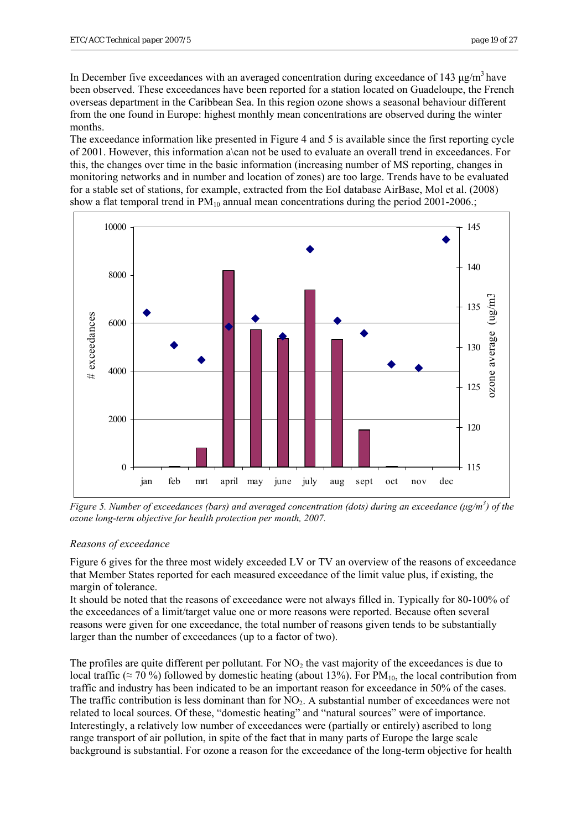In December five exceedances with an averaged concentration during exceedance of 143  $\mu$ g/m<sup>3</sup> have been observed. These exceedances have been reported for a station located on Guadeloupe, the French overseas department in the Caribbean Sea. In this region ozone shows a seasonal behaviour different from the one found in Europe: highest monthly mean concentrations are observed during the winter months.

The exceedance information like presented in Figure 4 and 5 is available since the first reporting cycle of 2001. However, this information a\can not be used to evaluate an overall trend in exceedances. For this, the changes over time in the basic information (increasing number of MS reporting, changes in monitoring networks and in number and location of zones) are too large. Trends have to be evaluated for a stable set of stations, for example, extracted from the EoI database AirBase, Mol et al. (2008) show a flat temporal trend in  $PM_{10}$  annual mean concentrations during the period 2001-2006.;



*Figure 5. Number of exceedances (bars) and averaged concentration (dots) during an exceedance (μg/m<sup>3</sup> ) of the ozone long-term objective for health protection per month, 2007.* 

### *Reasons of exceedance*

Figure 6 gives for the three most widely exceeded LV or TV an overview of the reasons of exceedance that Member States reported for each measured exceedance of the limit value plus, if existing, the margin of tolerance.

It should be noted that the reasons of exceedance were not always filled in. Typically for 80-100% of the exceedances of a limit/target value one or more reasons were reported. Because often several reasons were given for one exceedance, the total number of reasons given tends to be substantially larger than the number of exceedances (up to a factor of two).

The profiles are quite different per pollutant. For  $NO<sub>2</sub>$  the vast majority of the exceedances is due to local traffic (≈ 70 %) followed by domestic heating (about 13%). For PM<sub>10</sub>, the local contribution from traffic and industry has been indicated to be an important reason for exceedance in 50% of the cases. The traffic contribution is less dominant than for  $NO<sub>2</sub>$ . A substantial number of exceedances were not related to local sources. Of these, "domestic heating" and "natural sources" were of importance. Interestingly, a relatively low number of exceedances were (partially or entirely) ascribed to long range transport of air pollution, in spite of the fact that in many parts of Europe the large scale background is substantial. For ozone a reason for the exceedance of the long-term objective for health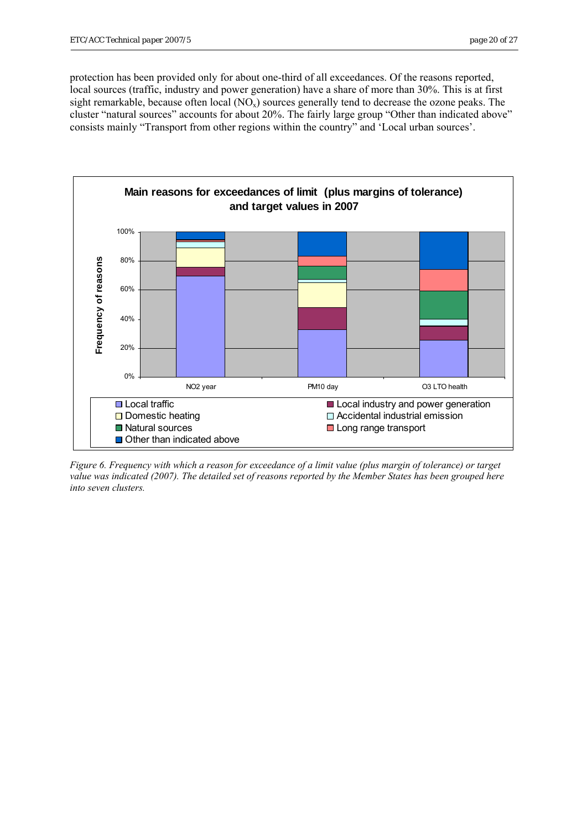protection has been provided only for about one-third of all exceedances. Of the reasons reported, local sources (traffic, industry and power generation) have a share of more than 30%. This is at first sight remarkable, because often local  $(NO_x)$  sources generally tend to decrease the ozone peaks. The cluster "natural sources" accounts for about 20%. The fairly large group "Other than indicated above" consists mainly "Transport from other regions within the country" and 'Local urban sources'.



*Figure 6. Frequency with which a reason for exceedance of a limit value (plus margin of tolerance) or target value was indicated (2007). The detailed set of reasons reported by the Member States has been grouped here into seven clusters.*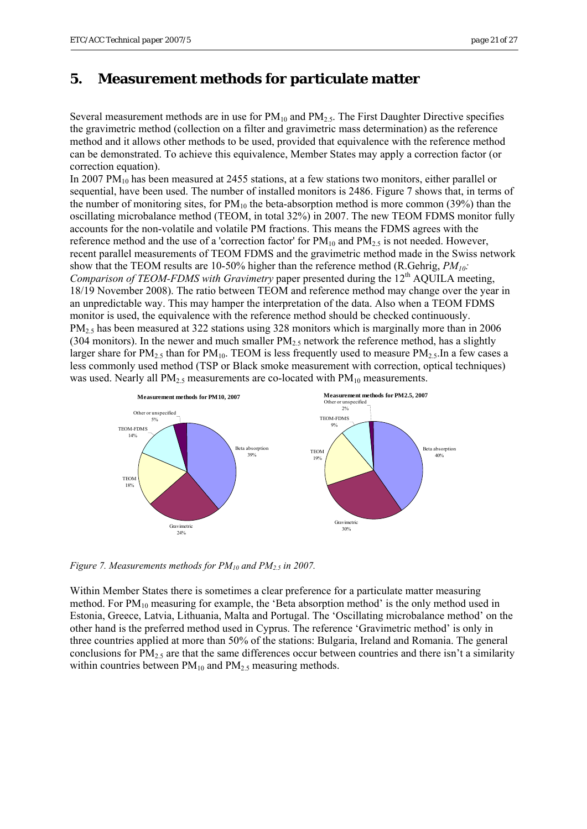# <span id="page-20-0"></span>**5. Measurement methods for particulate matter**

Several measurement methods are in use for  $PM_{10}$  and  $PM_{2.5}$ . The First Daughter Directive specifies the gravimetric method (collection on a filter and gravimetric mass determination) as the reference method and it allows other methods to be used, provided that equivalence with the reference method can be demonstrated. To achieve this equivalence, Member States may apply a correction factor (or correction equation).

In 2007  $PM_{10}$  has been measured at 2455 stations, at a few stations two monitors, either parallel or sequential, have been used. The number of installed monitors is 2486. Figure 7 shows that, in terms of the number of monitoring sites, for  $PM_{10}$  the beta-absorption method is more common (39%) than the oscillating microbalance method (TEOM, in total 32%) in 2007. The new TEOM FDMS monitor fully accounts for the non-volatile and volatile PM fractions. This means the FDMS agrees with the reference method and the use of a 'correction factor' for  $PM_{10}$  and  $PM_{2.5}$  is not needed. However, recent parallel measurements of TEOM FDMS and the gravimetric method made in the Swiss network show that the TEOM results are 10-50% higher than the reference method (R.Gehrig, *PM10: Comparison of TEOM-FDMS with Gravimetry* paper presented during the 12<sup>th</sup> AQUILA meeting, 18/19 November 2008). The ratio between TEOM and reference method may change over the year in an unpredictable way. This may hamper the interpretation of the data. Also when a TEOM FDMS monitor is used, the equivalence with the reference method should be checked continuously. PM<sub>2.5</sub> has been measured at 322 stations using 328 monitors which is marginally more than in 2006 (304 monitors). In the newer and much smaller  $PM_2$ , network the reference method, has a slightly larger share for  $PM_{2.5}$  than for  $PM_{10}$ . TEOM is less frequently used to measure  $PM_{2.5}$ . In a few cases a less commonly used method (TSP or Black smoke measurement with correction, optical techniques) was used. Nearly all  $PM_{2.5}$  measurements are co-located with  $PM_{10}$  measurements.



*Figure 7. Measurements methods for PM<sub>10</sub> and PM<sub>2.5</sub> in 2007.* 

Within Member States there is sometimes a clear preference for a particulate matter measuring method. For  $PM_{10}$  measuring for example, the 'Beta absorption method' is the only method used in Estonia, Greece, Latvia, Lithuania, Malta and Portugal. The 'Oscillating microbalance method' on the other hand is the preferred method used in Cyprus. The reference 'Gravimetric method' is only in three countries applied at more than 50% of the stations: Bulgaria, Ireland and Romania. The general conclusions for  $PM_{2.5}$  are that the same differences occur between countries and there isn't a similarity within countries between  $PM_{10}$  and  $PM_{2.5}$  measuring methods.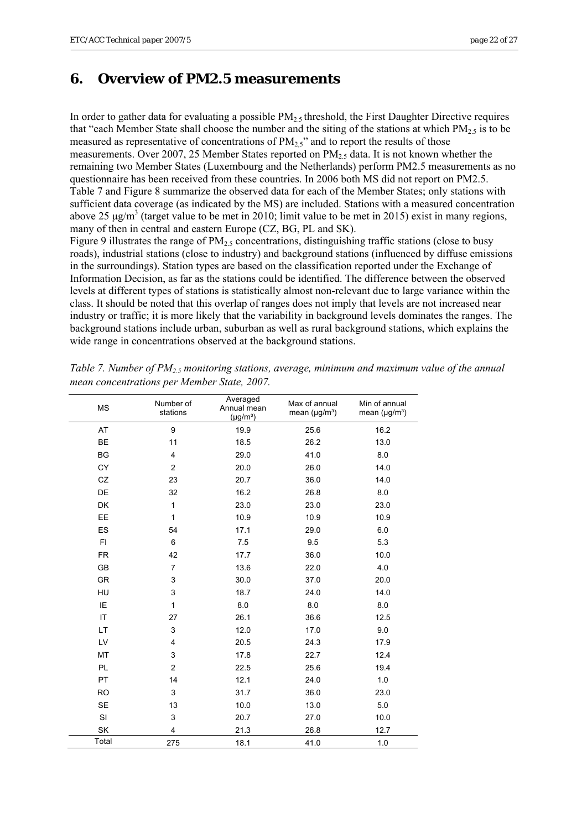# <span id="page-21-0"></span>**6. Overview of PM2.5 measurements**

In order to gather data for evaluating a possible  $PM<sub>2.5</sub>$  threshold, the First Daughter Directive requires that "each Member State shall choose the number and the siting of the stations at which  $PM_2$ , is to be measured as representative of concentrations of  $PM_{2,5}$ " and to report the results of those measurements. Over 2007, 25 Member States reported on  $PM_2$ , data. It is not known whether the remaining two Member States (Luxembourg and the Netherlands) perform PM2.5 measurements as no questionnaire has been received from these countries. In 2006 both MS did not report on PM2.5. Table 7 and Figure 8 summarize the observed data for each of the Member States; only stations with sufficient data coverage (as indicated by the MS) are included. Stations with a measured concentration above 25  $\mu$ g/m<sup>3</sup> (target value to be met in 2010; limit value to be met in 2015) exist in many regions, many of then in central and eastern Europe (CZ, BG, PL and SK).

Figure 9 illustrates the range of  $PM_{2.5}$  concentrations, distinguishing traffic stations (close to busy roads), industrial stations (close to industry) and background stations (influenced by diffuse emissions in the surroundings). Station types are based on the classification reported under the Exchange of Information Decision, as far as the stations could be identified. The difference between the observed levels at different types of stations is statistically almost non-relevant due to large variance within the class. It should be noted that this overlap of ranges does not imply that levels are not increased near industry or traffic; it is more likely that the variability in background levels dominates the ranges. The background stations include urban, suburban as well as rural background stations, which explains the wide range in concentrations observed at the background stations.

| <b>MS</b>              | Number of<br>stations | Averaged<br>Annual mean<br>$(\mu g/m^3)$ | Max of annual<br>mean $(\mu g/m^3)$ | Min of annual<br>mean $(\mu g/m^3)$ |
|------------------------|-----------------------|------------------------------------------|-------------------------------------|-------------------------------------|
| AT                     | $\boldsymbol{9}$      | 19.9                                     | 25.6                                | 16.2                                |
| <b>BE</b>              | 11                    | 18.5                                     | 26.2                                | 13.0                                |
| BG                     | 4                     | 29.0                                     | 41.0                                | 8.0                                 |
| <b>CY</b>              | 2                     | 20.0                                     | 26.0                                | 14.0                                |
| CZ                     | 23                    | 20.7                                     | 36.0                                | 14.0                                |
| <b>DE</b>              | 32                    | 16.2                                     | 26.8                                | 8.0                                 |
| <b>DK</b>              | 1                     | 23.0                                     | 23.0                                | 23.0                                |
| EE                     | 1                     | 10.9                                     | 10.9                                | 10.9                                |
| ES                     | 54                    | 17.1                                     | 29.0                                | 6.0                                 |
| <b>FI</b>              | 6                     | 7.5                                      | 9.5                                 | 5.3                                 |
| <b>FR</b>              | 42                    | 17.7                                     | 36.0                                | 10.0                                |
| GB                     | 7                     | 13.6                                     | 22.0                                | 4.0                                 |
| <b>GR</b>              | 3                     | 30.0                                     | 37.0                                | 20.0                                |
| HU                     | 3                     | 18.7                                     | 24.0                                | 14.0                                |
| IE                     | 1                     | 8.0                                      | 8.0                                 | 8.0                                 |
| $\mathsf{I}\mathsf{T}$ | 27                    | 26.1                                     | 36.6                                | 12.5                                |
| <b>LT</b>              | 3                     | 12.0                                     | 17.0                                | 9.0                                 |
| LV                     | 4                     | 20.5                                     | 24.3                                | 17.9                                |
| MT                     | 3                     | 17.8                                     | 22.7                                | 12.4                                |
| <b>PL</b>              | $\overline{2}$        | 22.5                                     | 25.6                                | 19.4                                |
| PT                     | 14                    | 12.1                                     | 24.0                                | 1.0                                 |
| <b>RO</b>              | $\mathsf 3$           | 31.7                                     | 36.0                                | 23.0                                |
| <b>SE</b>              | 13                    | 10.0                                     | 13.0                                | 5.0                                 |
| SI                     | 3                     | 20.7                                     | 27.0                                | 10.0                                |
| SK                     | 4                     | 21.3                                     | 26.8                                | 12.7                                |
| Total                  | 275                   | 18.1                                     | 41.0                                | 1.0                                 |

*Table 7. Number of PM2.5 monitoring stations, average, minimum and maximum value of the annual mean concentrations per Member State, 2007.*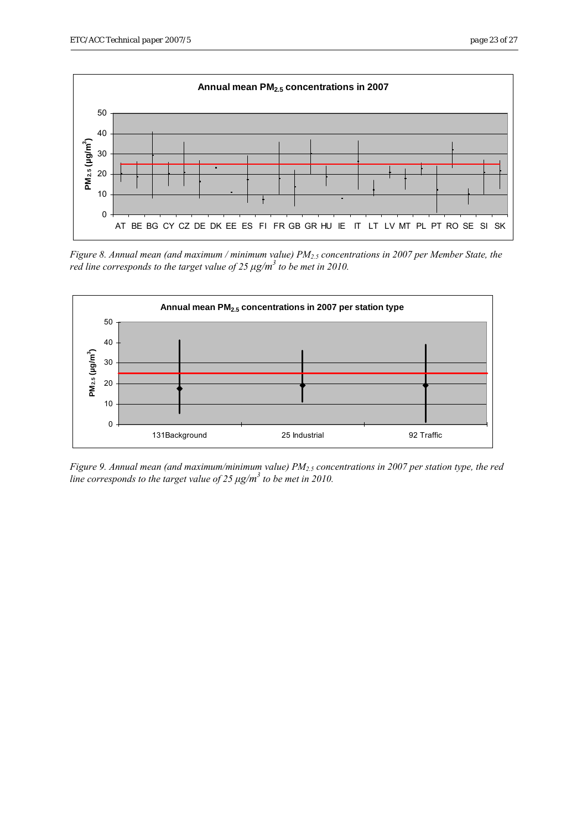

*Figure 8. Annual mean (and maximum / minimum value) PM2.5 concentrations in 2007 per Member State, the red line corresponds to the target value of 25*  $\mu$ *g/m<sup>3</sup> to be met in 2010.* 



*Figure 9. Annual mean (and maximum/minimum value) PM2.5 concentrations in 2007 per station type, the red*  line corresponds to the target value of 25 μg/m<sup>3</sup> to be met in 2010.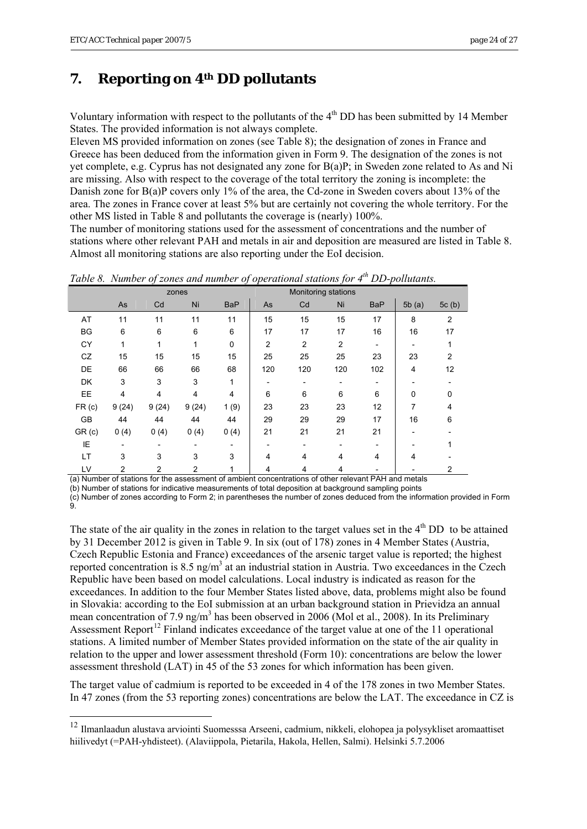1

# <span id="page-23-0"></span>**7. Reporting on 4th DD pollutants**

Voluntary information with respect to the pollutants of the  $4<sup>th</sup>$  DD has been submitted by 14 Member States. The provided information is not always complete.

Eleven MS provided information on zones (see Table 8); the designation of zones in France and Greece has been deduced from the information given in Form 9. The designation of the zones is not yet complete, e.g. Cyprus has not designated any zone for B(a)P; in Sweden zone related to As and Ni are missing. Also with respect to the coverage of the total territory the zoning is incomplete: the Danish zone for B(a)P covers only 1% of the area, the Cd-zone in Sweden covers about 13% of the area. The zones in France cover at least 5% but are certainly not covering the whole territory. For the other MS listed in Table 8 and pollutants the coverage is (nearly) 100%.

The number of monitoring stations used for the assessment of concentrations and the number of stations where other relevant PAH and metals in air and deposition are measured are listed in Table 8. Almost all monitoring stations are also reporting under the EoI decision.

*Table 8. Number of zones and number of operational stations for 4th DD-pollutants.* 

|                   |                |       | zones          |                          |                |                | Monitoring stations |            |       |                |
|-------------------|----------------|-------|----------------|--------------------------|----------------|----------------|---------------------|------------|-------|----------------|
|                   | As             | Cd    | Ni             | <b>BaP</b>               | As             | Cd             | Ni                  | <b>BaP</b> | 5b(a) | 5c(b)          |
| AT                | 11             | 11    | 11             | 11                       | 15             | 15             | 15                  | 17         | 8     | $\overline{2}$ |
| <b>BG</b>         | 6              | 6     | 6              | 6                        | 17             | 17             | 17                  | 16         | 16    | 17             |
| CY                | 1              | 1     | 1              | 0                        | $\overline{2}$ | $\overline{2}$ | $\overline{c}$      |            |       |                |
| CZ                | 15             | 15    | 15             | 15                       | 25             | 25             | 25                  | 23         | 23    | 2              |
| DE                | 66             | 66    | 66             | 68                       | 120            | 120            | 120                 | 102        | 4     | 12             |
| DK                | 3              | 3     | 3              | 1                        |                |                |                     |            |       |                |
| EE                | 4              | 4     | 4              | 4                        | 6              | 6              | 6                   | 6          | 0     | 0              |
| FR <sub>(c)</sub> | 9(24)          | 9(24) | 9(24)          | 1(9)                     | 23             | 23             | 23                  | 12         | 7     | 4              |
| <b>GB</b>         | 44             | 44    | 44             | 44                       | 29             | 29             | 29                  | 17         | 16    | 6              |
| GR(c)             | 0(4)           | 0(4)  | 0(4)           | 0(4)                     | 21             | 21             | 21                  | 21         |       |                |
| ΙE                |                |       |                | $\overline{\phantom{a}}$ |                |                |                     |            |       |                |
| LT                | 3              | 3     | 3              | 3                        | 4              | 4              | 4                   | 4          | 4     |                |
| LV                | $\overline{2}$ | 2     | $\overline{2}$ | 1                        | 4              | 4              | 4                   |            |       | 2              |

(a) Number of stations for the assessment of ambient concentrations of other relevant PAH and metals

(b) Number of stations for indicative measurements of total deposition at background sampling points

(c) Number of zones according to Form 2; in parentheses the number of zones deduced from the information provided in Form 9.

The state of the air quality in the zones in relation to the target values set in the  $4<sup>th</sup>$  DD to be attained by 31 December 2012 is given in Table 9. In six (out of 178) zones in 4 Member States (Austria, Czech Republic Estonia and France) exceedances of the arsenic target value is reported; the highest reported concentration is  $8.5$  ng/m<sup>3</sup> at an industrial station in Austria. Two exceedances in the Czech Republic have been based on model calculations. Local industry is indicated as reason for the exceedances. In addition to the four Member States listed above, data, problems might also be found in Slovakia: according to the EoI submission at an urban background station in Prievidza an annual mean concentration of 7.9 ng/m<sup>3</sup> has been observed in 2006 (Mol et al., 2008). In its Preliminary Assessment Report<sup>[12](#page-23-0)</sup> Finland indicates exceedance of the target value at one of the 11 operational stations. A limited number of Member States provided information on the state of the air quality in relation to the upper and lower assessment threshold (Form 10): concentrations are below the lower assessment threshold (LAT) in 45 of the 53 zones for which information has been given.

The target value of cadmium is reported to be exceeded in 4 of the 178 zones in two Member States. In 47 zones (from the 53 reporting zones) concentrations are below the LAT. The exceedance in CZ is

<sup>&</sup>lt;sup>12</sup> Ilmanlaadun alustava arviointi Suomesssa Arseeni, cadmium, nikkeli, elohopea ja polysykliset aromaattiset hiilivedyt (=PAH-yhdisteet). (Alaviippola, Pietarila, Hakola, Hellen, Salmi). Helsinki 5.7.2006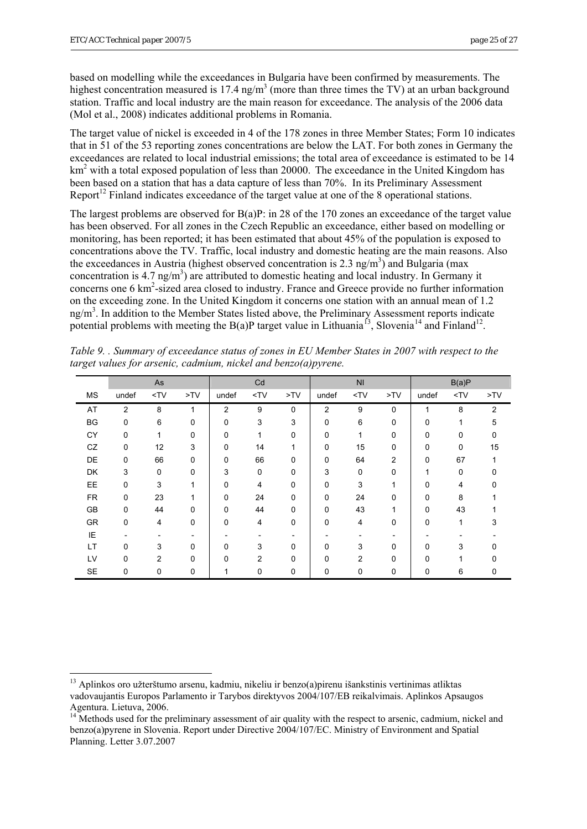<u>.</u>

<span id="page-24-0"></span>based on modelling while the exceedances in Bulgaria have been confirmed by measurements. The highest concentration measured is 17.4 ng/m<sup>3</sup> (more than three times the TV) at an urban background station. Traffic and local industry are the main reason for exceedance. The analysis of the 2006 data (Mol et al., 2008) indicates additional problems in Romania.

The target value of nickel is exceeded in 4 of the 178 zones in three Member States; Form 10 indicates that in 51 of the 53 reporting zones concentrations are below the LAT. For both zones in Germany the exceedances are related to local industrial emissions; the total area of exceedance is estimated to be 14 km<sup>2</sup> with a total exposed population of less than 20000. The exceedance in the United Kingdom has been based on a station that has a data capture of less than 70%. In its Preliminary Assessment Report<sup>12</sup> Finland indicates exceedance of the target value at one of the 8 operational stations.

The largest problems are observed for  $B(a)P$ : in 28 of the 170 zones an exceedance of the target value has been observed. For all zones in the Czech Republic an exceedance, either based on modelling or monitoring, has been reported; it has been estimated that about 45% of the population is exposed to concentrations above the TV. Traffic, local industry and domestic heating are the main reasons. Also the exceedances in Austria (highest observed concentration is 2.3 ng/m<sup>3</sup>) and Bulgaria (max concentration is 4.7 ng/m<sup>3</sup>) are attributed to domestic heating and local industry. In Germany it concerns one 6 km<sup>2</sup>-sized area closed to industry. France and Greece provide no further information on the exceeding zone. In the United Kingdom it concerns one station with an annual mean of 1.2 ng/m<sup>3</sup>. In addition to the Member States listed above, the Preliminary Assessment reports indicate potential problems with meeting the B(a)P target value in Lithuania<sup>[13](#page-24-0)</sup>, Slovenia<sup>[1](#page-24-0)4</sup> and Finland<sup>12</sup>.

|           |                | As             |             |                | Cd          |             |                | N <sub>l</sub>                                                                            |                | B(a)P       |        |                |  |
|-----------|----------------|----------------|-------------|----------------|-------------|-------------|----------------|-------------------------------------------------------------------------------------------|----------------|-------------|--------|----------------|--|
| <b>MS</b> | undef          | $<$ TV         | >TV         | undef          | $<$ TV      | >TV         | undef          | <tv< td=""><td>&gt;TV</td><td>undef</td><td><math>&lt;</math>TV</td><td>&gt;TV</td></tv<> | >TV            | undef       | $<$ TV | >TV            |  |
| AT        | $\overline{2}$ | 8              | 1           | $\overline{2}$ | 9           | $\mathbf 0$ | $\overline{2}$ | 9                                                                                         | 0              | 1           | 8      | $\overline{2}$ |  |
| <b>BG</b> | 0              | 6              | $\mathbf 0$ | 0              | 3           | 3           | $\mathbf 0$    | 6                                                                                         | 0              | 0           | 1      | 5              |  |
| CY        | 0              | 1              | 0           | 0              | 1           | 0           | $\mathbf 0$    | 1                                                                                         | 0              | 0           | 0      | 0              |  |
| CZ        | $\mathbf 0$    | 12             | 3           | 0              | 14          | 1           | $\mathbf 0$    | 15                                                                                        | 0              | 0           | 0      | 15             |  |
| DE        | 0              | 66             | 0           | 0              | 66          | 0           | 0              | 64                                                                                        | $\overline{2}$ | 0           | 67     |                |  |
| DK        | 3              | 0              | $\mathbf 0$ | 3              | $\mathbf 0$ | 0           | 3              | 0                                                                                         | 0              |             | 0      |                |  |
| EE        | 0              | 3              |             | 0              | 4           | 0           | 0              | 3                                                                                         | 1              | 0           | 4      | <sup>0</sup>   |  |
| <b>FR</b> | 0              | 23             |             | 0              | 24          | 0           | $\mathbf 0$    | 24                                                                                        | $\mathbf{0}$   | $\mathbf 0$ | 8      |                |  |
| <b>GB</b> | 0              | 44             | $\Omega$    | 0              | 44          | $\Omega$    | $\Omega$       | 43                                                                                        | 1              | $\mathbf 0$ | 43     |                |  |
| GR        | 0              | 4              | 0           | 0              | 4           | 0           | $\mathbf{0}$   | 4                                                                                         | $\mathbf 0$    | 0           | 1      | 3              |  |
| IE        |                |                |             |                |             |             |                |                                                                                           |                |             |        |                |  |
| LT        | $\Omega$       | 3              | $\Omega$    | 0              | 3           | 0           | $\Omega$       | 3                                                                                         | $\Omega$       | 0           | 3      |                |  |
| LV        | $\Omega$       | $\overline{2}$ | $\Omega$    | 0              | 2           | 0           | $\Omega$       | $\overline{2}$                                                                            | $\Omega$       | $\Omega$    |        |                |  |
| <b>SE</b> | 0              | 0              | 0           |                | 0           | 0           | 0              | 0                                                                                         | 0              | 0           | 6      | 0              |  |

*Table 9. . Summary of exceedance status of zones in EU Member States in 2007 with respect to the target values for arsenic, cadmium, nickel and benzo(a)pyrene.* 

<sup>&</sup>lt;sup>13</sup> Aplinkos oro užterštumo arsenu, kadmiu, nikeliu ir benzo(a)pirenu išankstinis vertinimas atliktas vadovaujantis Europos Parlamento ir Tarybos direktyvos 2004/107/EB reikalvimais. Aplinkos Apsaugos Agentura. Lietuva, 2006.

<sup>&</sup>lt;sup>14</sup> Methods used for the preliminary assessment of air quality with the respect to arsenic, cadmium, nickel and benzo(a)pyrene in Slovenia. Report under Directive 2004/107/EC. Ministry of Environment and Spatial Planning. Letter 3.07.2007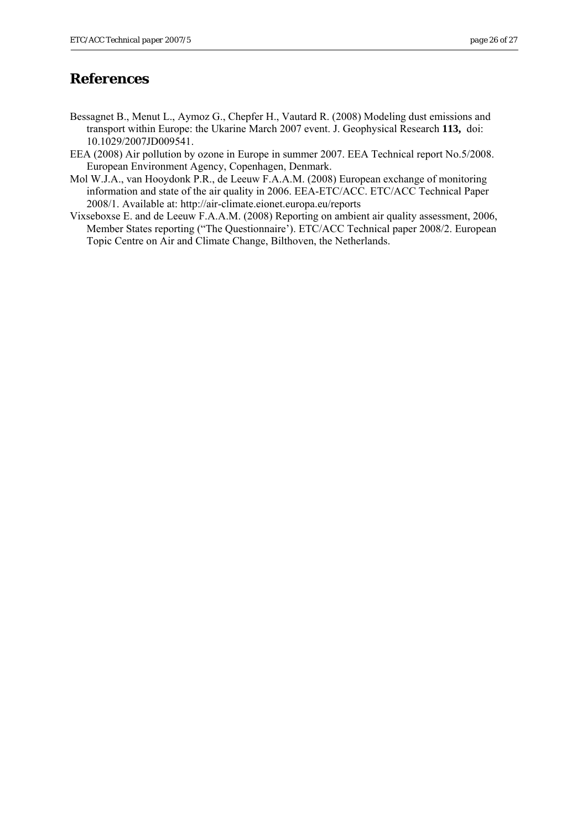# <span id="page-25-0"></span>**References**

- Bessagnet B., Menut L., Aymoz G., Chepfer H., Vautard R. (2008) Modeling dust emissions and transport within Europe: the Ukarine March 2007 event. J. Geophysical Research **113,** doi: 10.1029/2007JD009541.
- EEA (2008) Air pollution by ozone in Europe in summer 2007. EEA Technical report No.5/2008. European Environment Agency, Copenhagen, Denmark.
- Mol W.J.A., van Hooydonk P.R., de Leeuw F.A.A.M. (2008) European exchange of monitoring information and state of the air quality in 2006. EEA-ETC/ACC. ETC/ACC Technical Paper 2008/1. Available at: http://air-climate.eionet.europa.eu/reports
- Vixseboxse E. and de Leeuw F.A.A.M. (2008) Reporting on ambient air quality assessment, 2006, Member States reporting ("The Questionnaire'). ETC/ACC Technical paper 2008/2. European Topic Centre on Air and Climate Change, Bilthoven, the Netherlands.